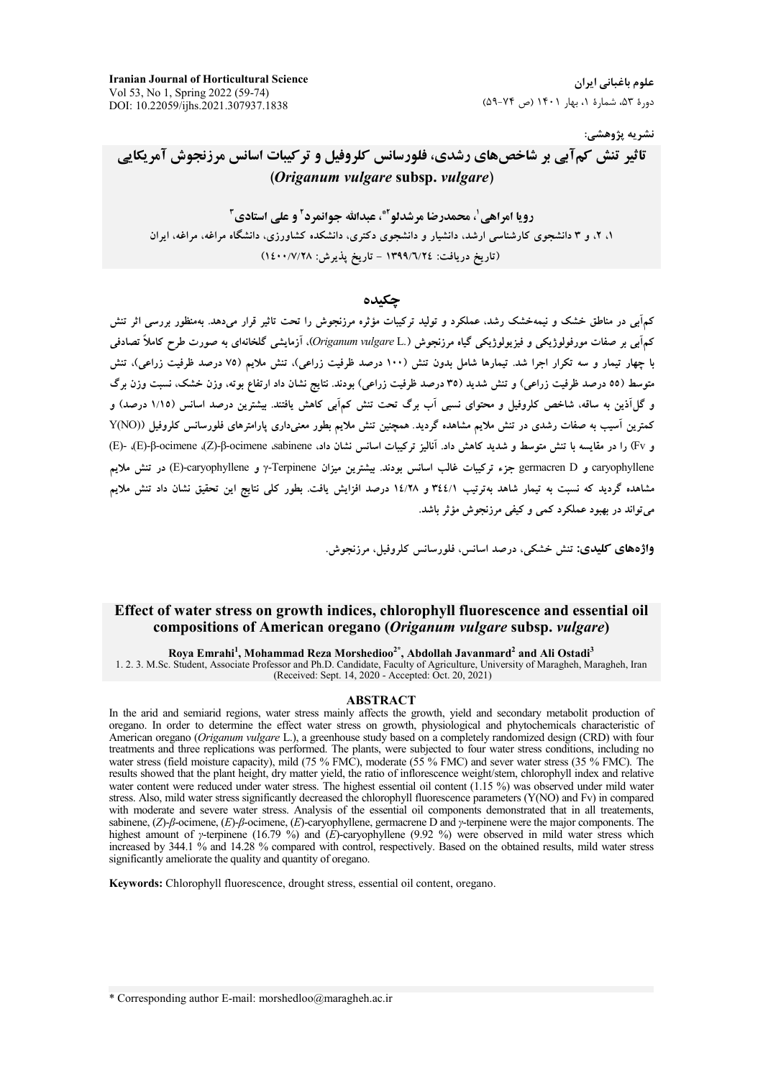**Iranian Journal of Horticultural Science** Vol 53, No 1, Spring 2022 (59-74) DOI: 10.22059/ijhs.2021.307937.1838

علوم باغیانی ایران دورهٔ ۵۳، شمارهٔ ۱، بهار ۱۴۰۱ (ص ۷۴-۵۹)

نشريه پژوهشي:

**تاثیر تنش کمآبی بر شاخص های رشدی، فلورسانس کلروفیل و ترکیبات اسانس مرزنجوش آمریکایی** (Origanum vulgare subsp. vulgare)

رویا امراهی <sup>۱</sup>، محمدرضا مرشدلو<sup>۲</sup>\*، عبدالله جوانمرد<sup>۲</sup> و علی استادی<sup>۳</sup> ۱، ۲، و ۳ دانشجوی کارشناسی ارشد، دانشیار و دانشجوی دکتری، دانشکده کشاورزی، دانشگاه مراغه، مراغه، ایران (تاریخ دریافت: ١٣٩٩/٦/٢٤ - تاریخ پذیرش: ١٤٠٠/٧/٢٨)

## حكىدە

کمهآبی در مناطق خشک و نیمهخشک رشد، عملکرد و تولید ترکیبات مؤثره مرزنجوش را تحت تاثیر قرار میدهد. بهمنظور بررسی اثر تنش کمهآبی بر صفات مورفولوژیکی و فیزیولوژیکی گیاه مرزنجوش (.Origanum vulgare L). آزمایشی گلخانهای به صورت طرح کاملاً تصادفی با چهار تیمار و سه تکرار اجرا شد. تیمارها شامل بدون تنش (۱۰۰ درصد ظرفیت زراعی)، تنش ملایم (۷۵ درصد ظرفیت زراعی)، تنش متوسط (٥٥ درصد ظرفیت زراعی) و تنش شدید (٣٥ درصد ظرفیت زراعی) بودند. نتایج نشان داد ارتفاع بوته، وزن خشک، نسبت وزن برگ و گلآذین به ساقه، شاخص کلروفیل و محتوای نسبی آب برگ تحت تنش کمآبی کاهش یافتند. بیشترین درصد اسانس (۱/۱۵ درصد) و کمترین آسیب به صفات رشدی در تنش ملایم مشاهده گردید. همچنین تنش ملایم بطور معنیداری پارامترهای فلورسانس کلروفیل ((Y(NO و Fv) را در مقایسه با تنش متوسط و شدید کاهش داد. آنالیز ترکیبات اسانس نشان داد، G-γ-γ-οcimene (Z)-β-ocimene (Z)-β-ocimene (Z)، (E) caryophyllene و germacren D جزء تركيبات غالب اسانس بودند. بيشترين ميزان Terpinene و E)-caryophyllene) در تنش ملايم مشاهده گردید که نسبت به تیمار شاهد بهترتیب ۴٤٤/۱ و ۱٤/۲۸ درصد افزایش یافت. بطور کلی نتایج این تحقیق نشان داد تنش ملایم ميتواند در بهبود عملکرد کمي و کيفي مرزنجوش مؤثر باشد.

واژههای کلیدی: تنش خشکی، درصد اسانس، فلورسانس کلروفیل، مرزنجوش.

# Effect of water stress on growth indices, chlorophyll fluorescence and essential oil compositions of American oregano (Origanum vulgare subsp. vulgare)

Roya Emrahi<sup>1</sup>, Mohammad Reza Morshedioo<sup>2\*</sup>, Abdollah Javanmard<sup>2</sup> and Ali Ostadi<sup>3</sup><br>1. 2. 3. M.Sc. Student, Associate Professor and Ph.D. Candidate, Faculty of Agriculture, University of Maragheh, Maragheh, Iran (Received: Sept. 14, 2020 - Accepted: Oct. 20, 2021)

#### **ABSTRACT**

In the arid and semiarid regions, water stress mainly affects the growth, yield and secondary metabolit production of oregano. In order to determine the effect water stress on growth, physiological and phytochemicals characteristic of American oregano (Origanum vulgare L.), a greenhouse study based on a completely randomized design (CRD) with four treatments and three replications was performed. The plants, were subjected to four water stress conditions, including no water stress (field moisture capacity), mild (75 % FMC), moderate (55 % FMC) and sever water stress (35 % FMC). The results showed that the plant height, dry matter yield, the ratio of inflorescence weight/stem, chlorophyll index and relative water content were reduced under water stress. The highest essential oil content (1.15 %) was observed under mild water stress. Also, mild water stress significantly decreased the chlorophyll fluorescence parameters (Y(NO) and Fy) in compared with moderate and severe water stress. Analysis of the essential oil components demonstrated that in all treatements, sabinene,  $(Z)$ -*ß*-ocimene,  $(E)$ -*ß*-ocimene,  $(E)$ -caryophyllene, germacrene D and y-terpinene were the major components. The highest amount of y-terpinene (16.79 %) and  $(E)$ -caryophyllene (9.92 %) were observed in mild water stress which increased by 344.1 % and 14.28 % compared with control, respectively. Based on the obtained results, mild water stress significantly ameliorate the quality and quantity of oregano.

Keywords: Chlorophyll fluorescence, drought stress, essential oil content, oregano.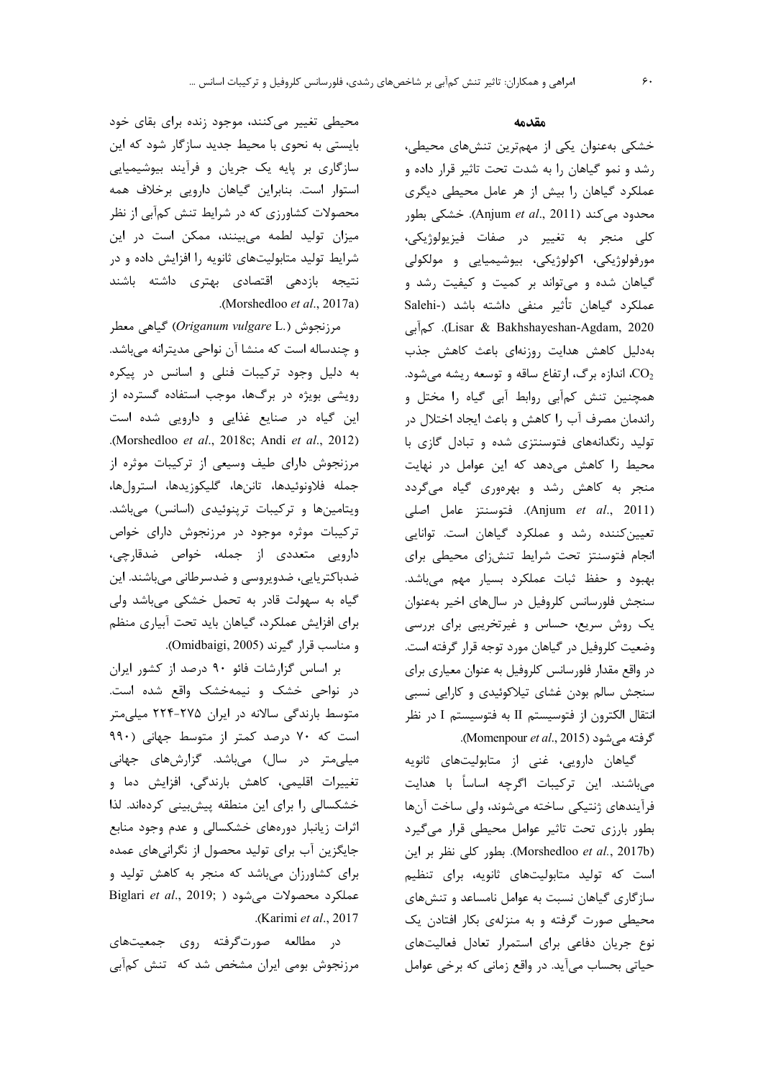### مقدمه

خشکی بهعنوان یکی از مهمترین تنشهای محیطی، رشد و نمو گیاهان را به شدت تحت تاثیر قرار داده و عملکرد گیاهان را بیش از هر عامل محیطی دیگری محدود می کند (Anjum et al., 2011). خشکی بطور كلى منجر به تغيير در صفات فيزيولوژيكى، مورفولوژیکی، اکولوژیکی، بیوشیمیایی و مولکولی گیاهان شده و می تواند بر کمیت و کیفیت رشد و عملکرد گیاهان تأثیر منفی داشته باشد (-Salehi Lisar & Bakhshayeshan-Agdam, 2020). كم آبى بهدلیل کاهش هدایت روزنهای باعث کاهش جذب اندازه برگ، ارتفاع ساقه و توسعه ریشه میشود. $\rm CO_2$ همچنین تنش کمآبی روابط آبی گیاه را مختل و راندمان مصرف آب را كاهش و باعث ايجاد اختلال در تولید رنگدانههای فتوسنتزی شده و تبادل گازی با محیط را کاهش میدهد که این عوامل در نهایت منجر به کاهش رشد و بهرهوری گیاه میگردد (Anjum et al., 2011). فتوسنتز عامل اصلی تعیین کننده رشد و عملکرد گیاهان است. توانایی انجام فتوسنتز تحت شرايط تنش زاى محيطى براى بهبود وحفظ ثبات عملكرد بسيار مهم مىباشد. سنجش فلورسانس كلروفيل در سالهاى اخير بهعنوان یک روش سریع، حساس و غیرتخریبی برای بررسی وضعیت کلروفیل در گیاهان مورد توجه قرار گرفته است. در واقع مقدار فلورسانس كلروفيل به عنوان معياري براي سنجش سالم بودن غشای تیلاکوئیدی و کارایی نسبی انتقال الكترون از فتوسيستم II به فتوسيستم I در نظر گرفته میشود (Momenpour et al., 2015).

گیاهان دارویی، غنی از متابولیتهای ثانویه میباشند. این ترکیبات اگرچه اساساً با هدایت فرآیندهای ژنتیکی ساخته میشوند، ولی ساخت آنها بطور بارزی تحت تاثیر عوامل محیطی قرار میگیرد (Morshedloo et al., 2017b). بطور كلي نظر بر اين است که تولید متابولیتهای ثانویه، برای تنظیم سازگاری گیاهان نسبت به عوامل نامساعد و تنشهای محیطی صورت گرفته و به منزلهی بکار افتادن یک نوع جریان دفاعی برای استمرار تعادل فعالیتهای حیاتی بحساب میآید. در واقع زمانی که برخی عوامل

محیطی تغییر میکنند، موجود زنده برای بقای خود بایستی به نحوی با محیط جدید سازگار شود که این سازگاری بر پایه یک جریان و فرآیند بیوشیمیایی استوار است. بنابراین گیاهان دارویی برخلاف همه محصولات کشاورزی که در شرایط تنش کمآبی از نظر میزان تولید لطمه میبینند، ممکن است در این شرایط تولید متابولیتهای ثانویه را افزایش داده و در نتیجه بازدهی اقتصادی بهتری داشته باشند .(Morshedloo et al., 2017a)

مرزنجوش (.Origanum vulgare L) گیاهی معطر و چندساله است که منشا آن نواحی مدیترانه میباشد. به دلیل وجود ترکیبات فنلی و اسانس در پیکره رویشی بویژه در برگها، موجب استفاده گسترده از این گیاه در صنایع غذایی و دارویی شده است .(Morshedloo et al., 2018c; Andi et al., 2012) مرزنجوش دارای طیف وسیعی از ترکیبات موثره از جمله فلاونوئيدها، تاننها، گليكوزيدها، استرولها، ویتامینها و ترکیبات ترپنوئیدی (اسانس) میباشد. ترکیبات موثره موجود در مرزنجوش دارای خواص دارویی متعددی از جمله، خواص ضدقارچی، ضدباکتریایی، ضدویروسی و ضدسرطانی میباشند. این گیاه به سهولت قادر به تحمل خشکی میباشد ولی برای افزایش عملکرد، گیاهان باید تحت آبیاری منظم و مناسب قرار گیرند (Omidbaigi, 2005).

بر اساس گزارشات فائو ۹۰ درصد از کشور ایران در نواحی خشک و نیمهخشک واقع شده است. متوسط بارندگی سالانه در ایران ۲۷۵-۲۲۴ میلی متر است که ۷۰ درصد کمتر از متوسط جهانی (۹۹۰ میلی متر در سال) میباشد. گزارشهای جهانی تغییرات اقلیمی، کاهش بارندگی، افزایش دما و خشکسالی را برای این منطقه پیش بینی کردهاند. لذا اثرات زیانبار دورههای خشکسالی و عدم وجود منابع جایگزین آب برای تولید محصول از نگرانیهای عمده برای کشاورزان میباشد که منجر به کاهش تولید و Biglari et al., 2019; ) عملكرد محصولات مى شود .(Karimi et al., 2017

در مطالعه صورتگرفته روی جمعیتهای مرزنجوش بومی ایران مشخص شد که تنش کمآبی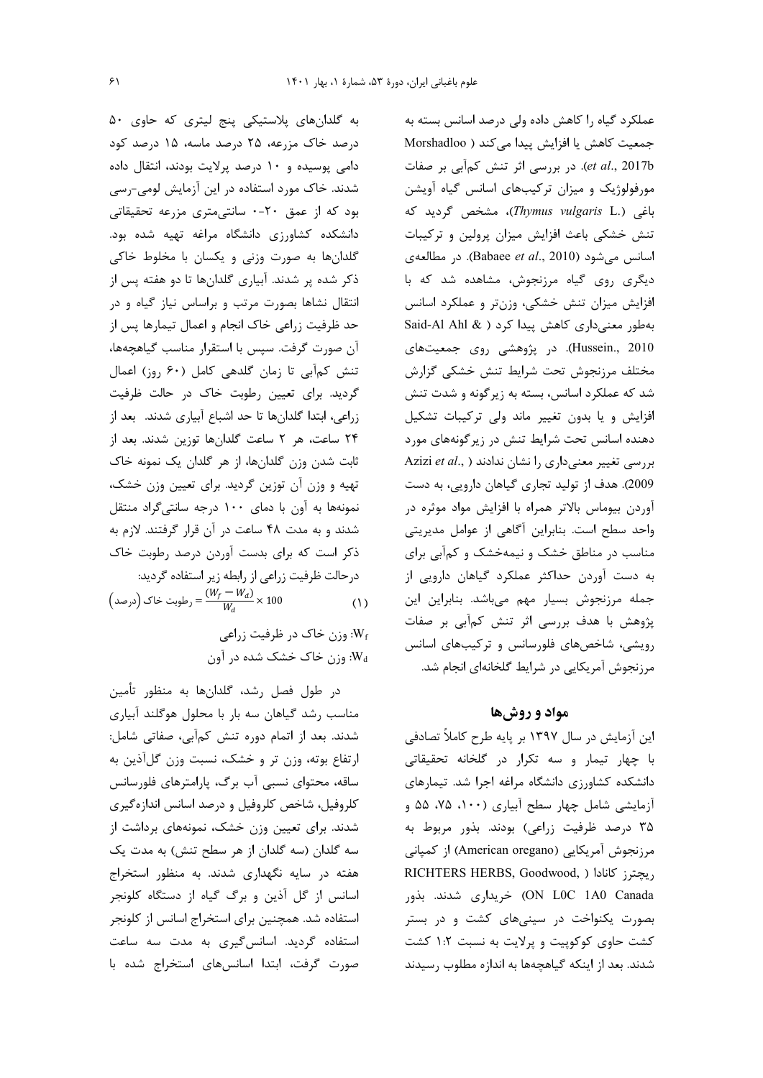به گلدانهای پلاستیکی پنج لیتری که حاوی ۵۰ درصد خاک مزرعه، ۲۵ درصد ماسه، ۱۵ درصد کود دامی پوسیده و ١٠ درصد پرلایت بودند، انتقال داده شدند. خاک مورد استفاده در این آزمایش لومی-رسی بود که از عمق ٢٠-٠ سانتى مترى مزرعه تحقيقاتى دانشکده کشاورزی دانشگاه مراغه تهیه شده بود. گلدانها به صورت وزنی و یکسان با مخلوط خاکی ذکر شده پر شدند. آبیاری گلدانها تا دو هفته پس از انتقال نشاها بصورت مرتب و براساس نیاز گیاه و در حد ظرفیت زراعی خاک انجام و اعمال تیمارها پس از آن صورت گرفت. سپس با استقرار مناسب گیاهچهها، تنش كمآبي تا زمان گلدهي كامل (۶۰ روز) اعمال گردید. برای تعیین رطوبت خاک در حالت ظرفیت زراعي، ابتدا گلدانها تا حد اشباع آبياري شدند. بعد از ٢۴ ساعت، هر ٢ ساعت گلدانها توزين شدند. بعد از ثابت شدن وزن گلدانها، از هر گلدان یک نمونه خاک تهیه و وزن آن توزین گردید. برای تعیین وزن خشک، نمونهها به آون با دمای ١٠٠ درجه سانتیگراد منتقل شدند و به مدت ۴۸ ساعت در آن قرار گرفتند. لازم به ذکر است که برای بدست آوردن درصد رطوبت خاک درحالت ظرفيت زراعي از رابطه زير استفاده گرديد:

$$
\left(\omega_{c}\right)\left(\omega_{c}\right) = \frac{(W_{f} - W_{d})}{W_{d}} \times 100\tag{1}
$$

$$
W_i
$$
وزن خاک در ظرفیت زرامی  
ه $W_i$ وز خاک خشک شده در آون.

در طول فصل رشد، گلدانها به منظور تأمین مناسب رشد گیاهان سه بار با محلول هوگلند آبیاری شدند. بعد از اتمام دوره تنش کمآبی، صفاتی شامل: ارتفاع بوته، وزن تر و خشک، نسبت وزن گلآذین به ساقه، محتوای نسبی آب برگ، پارامترهای فلورسانس كلروفيل، شاخص كلروفيل و درصد اسانس اندازهگيري شدند. برای تعیین وزن خشک، نمونههای برداشت از سه گلدان (سه گلدان از هر سطح تنش) به مدت یک هفته در سایه نگهداری شدند. به منظور استخراج اسانس از گل آذین و برگ گیاه از دستگاه کلونجر استفاده شد. همچنین برای استخراج اسانس از کلونجر استفاده گردید. اسانس گیری به مدت سه ساعت صورت گرفت، ابتدا اسانسهای استخراج شده با

عملکرد گیاه را کاهش داده ولی درصد اسانس بسته به جمعیت کاهش یا افزایش پیدا می کند ( Morshadloo et al., 2017b). در بررسی اثر تنش کمآبی بر صفات مورفولوژیک و میزان ترکیبهای اسانس گیاه آویشن باغی (.Thymus vulgaris L)، مشخص گردید که تنش خشکی باعث افزایش میزان پرولین و ترکیبات اسانس میشود (Babaee et al., 2010). در مطالعهی دیگری روی گیاه مرزنجوش، مشاهده شد که با افزایش میزان تنش خشکی، وزنتر و عملکرد اسانس بهطور معنى دارى كاهش پيدا كرد ( & Said-Al Ahl Hussein., 2010). در پژوهشی روی جمعیتهای مختلف مرزنجوش تحت شرايط تنش خشكي گزارش شد که عملکرد اسانس، بسته به زیرگونه و شدت تنش افزایش و یا بدون تغییر ماند ولی ترکیبات تشکیل دهنده اسانس تحت شرایط تنش در زیر گونههای مورد Azizi et al., ) بررسی تغییر معنیداری را نشان ندادند 2009). هدف از تولید تجاری گیاهان دارویی، به دست آوردن بیوماس بالاتر همراه با افزایش مواد موثره در واحد سطح است. بنابراین آگاهی از عوامل مدیریتی مناسب در مناطق خشک و نیمهخشک و کمآبی برای به دست آوردن حداکثر عملکرد گیاهان دارویی از جمله مرزنجوش بسيار مهم مىباشد. بنابراين اين پژوهش با هدف بررسی اثر تنش کمآبی بر صفات رویشی، شاخصهای فلورسانس و ترکیبهای اسانس مرزنجوش آمریکایی در شرایط گلخانهای انجام شد.

## مواد و روشها

این آزمایش در سال ۱۳۹۷ بر پایه طرح کاملاً تصادفی با چهار تیمار و سه تکرار در گلخانه تحقیقاتی دانشکده کشاورزی دانشگاه مراغه اجرا شد. تیمارهای آزمایشی شامل چهار سطح آبیاری (۱۰۰، ۷۵، ۵۵ و ۳۵ درصد ظرفیت زراعی) بودند. بذور مربوط به مرزنجوش آمريكايي (American oregano) از كمياني RICHTERS HERBS, Goodwood, ) میچترز کانادا ON LOC 1A0 Canada) خریداری شدند. بذور بصورت یکنواخت در سینیهای کشت و در بستر کشت حاوی کوکوپیت و پرلایت به نسبت ۱:۲ کشت شدند. بعد از اینکه گیاهچهها به اندازه مطلوب رسیدند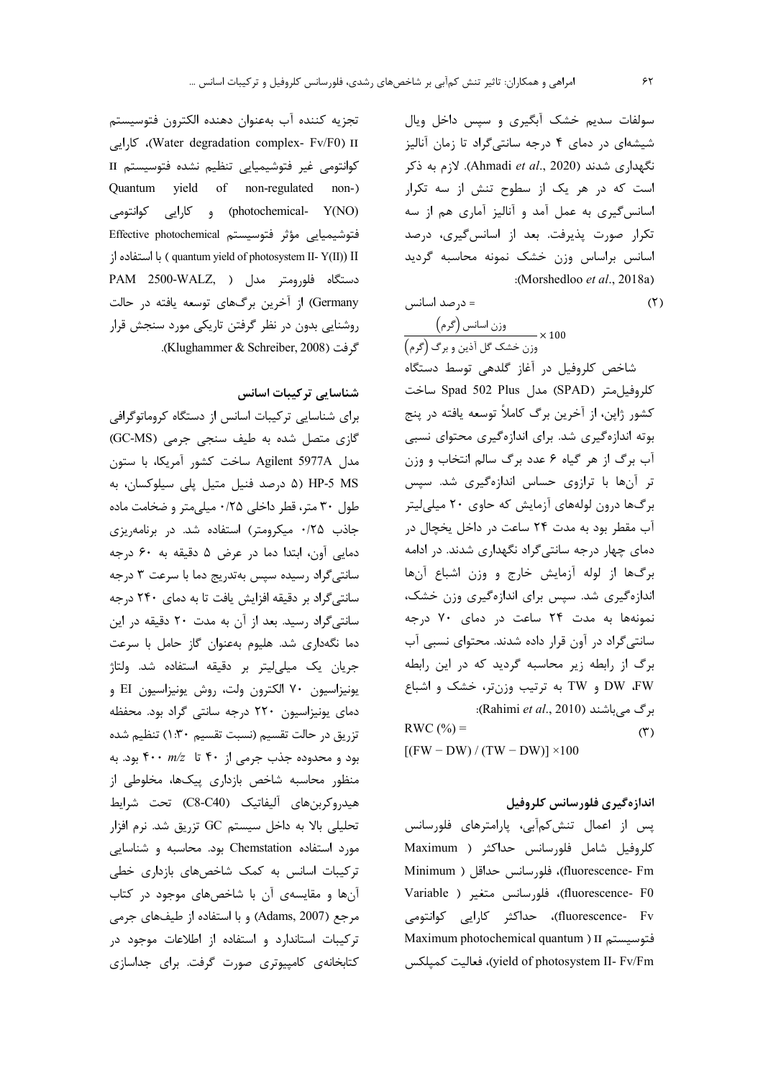سولفات سدیم خشک آبگیری و سیس داخل ویال شیشهای در دمای ۴ درجه سانتیگراد تا زمان آنالیز نگهداری شدند (Ahmadi et al., 2020). لازم به ذکر است که در هر یک از سطوح تنش از سه تکرار اسانس گیری به عمل آمد و آنالیز آماری هم از سه تكرار صورت پذيرفت. بعد از اسانس گيرى، درصد اسانس براساس وزن خشک نمونه محاسبه گرديد :(Morshedloo et al., 2018a)

$$
(\mathbf{r})
$$

وزن اسانس (گرم)<br>x 100 ×<br>وزن خشک گل آذین و برگ (گرم)

= درصد اسانس

شاخص کلروفیل در آغاز گلدهی توسط دستگاه كلروفيل متر (SPAD) مدل Spad 502 Plus ساخت كشور ژاپن، از آخرين برگ كاملاً توسعه يافته در پنج بوته اندازهگیری شد. برای اندازهگیری محتوای نسبی آب برگ از هر گیاه ۶ عدد برگ سالم انتخاب و وزن تر آنها با ترازوی حساس اندازهگیری شد. سپس برگها درون لولههای آزمایش که حاوی ۲۰ میلیلیتر آب مقطر بود به مدت ۲۴ ساعت در داخل یخچال در دمای چهار درجه سانتیگراد نگهداری شدند. در ادامه برگها از لوله آزمایش خارج و وزن اشباع آنها اندازهگیری شد. سپس برای اندازهگیری وزن خشک، نمونهها به مدت ٢۴ ساعت در دمای ٧٠ درجه سانتی گراد در آون قرار داده شدند. محتوای نسبی آب برگ از رابطه زیر محاسبه گردید که در این رابطه DW ،FW و TW به ترتيب وزنتر، خشک و اشباع : (Rahimi et al., 2010): (Rahimi et al., 2010):  $RWC(%)=$  $(1)$  $[(FW-DW)/(TW-DW)] \times 100$ 

## اندازهگیری فلورسانس کلروفیل

پس از اعمال تنش كمآبى، پارامترهاى فلورسانس كلروفيل شامل فلورسانس حداكثر ( Maximum fluorescence- Fm)، فلورسانس حداقل ( Minimum Huorescence- F0)، فلورسانس متغير ( Variable fluorescence- Fv)، حداکثر کارایی کوانتومی Maximum photochemical quantum ) II فتوسيستم Maximum photochemical quantum yield of photosystem II- Fv/Fm)، فعاليت كميلكس

تجزيه كننده آب بهعنوان دهنده الكترون فتوسيستم Water degradation complex- Fv/F0) II)، كارايى كوانتومى غير فتوشيميايي تنظيم نشده فتوسيستم II Quantum yield of non-regulated non-) (photochemical- Y(NO) و كارايي كوانتومي فتوشيميايي مؤثر فتوسيستم Effective photochemical از (quantum yield of photosystem II- Y(II) II ) با استفاده از PAM 2500-WALZ, ) دستگاه فلورومتر مدل Germany) از آخرین برگهای توسعه یافته در حالت روشنایی بدون در نظر گرفتن تاریکی مورد سنجش قرار گرفت (Klughammer & Schreiber, 2008).

شناسایی ترکیبات اسانس

برای شناسایی ترکیبات اسانس از دستگاه کروماتوگرافی گازی متصل شده به طیف سنجی جرمی (GC-MS) مدل Agilent 5977A ساخت كشور آمريكا، با ستون A) HP-5 MS درصد فنیل متیل پلی سیلوکسان، به طول ۳۰ متر، قطر داخلی ۰/۲۵ میلی متر و ضخامت ماده جاذب ۲۵/۰ میکرومتر) استفاده شد. در برنامهریزی دمايي آون، ابتدا دما در عرض ۵ دقيقه به ۶۰ درجه سانتی گراد رسیده سپس بهتدریج دما با سرعت ۳ درجه سانتی گراد بر دقیقه افزایش یافت تا به دمای ۲۴۰ درجه سانتیگراد رسید. بعد از آن به مدت ۲۰ دقیقه در این دما نگهداری شد. هلیوم بهعنوان گاز حامل با سرعت جریان یک میلیلیتر بر دقیقه استفاده شد. ولتاژ يونيزاسيون ٧٠ الكترون ولت، روش يونيزاسيون EI و دمای یونیزاسیون ۲۲۰ درجه سانتی گراد بود. محفظه تزريق در حالت تقسيم (نسبت تقسيم ١:٣٠) تنظيم شده بود و محدوده جذب جرمی از ۴۰ تا  $m/z$  بود. به منظور محاسبه شاخص بازداری پیکها، مخلوطی از هيدروكربنهاي آليفاتيك (C8-C40) تحت شرايط تحلیلی بالا به داخل سیستم GC تزریق شد. نرم افزار مورد استفاده Chemstation بود. محاسبه و شناسایی ترکیبات اسانس به کمک شاخصهای بازداری خطی آنها و مقایسهی آن با شاخصهای موجود در کتاب مرجع (Adams, 2007) و با استفاده از طیفهای جرمی ترکیبات استاندارد و استفاده از اطلاعات موجود در كتابخانهى كامپيوترى صورت گرفت. براى جداسازى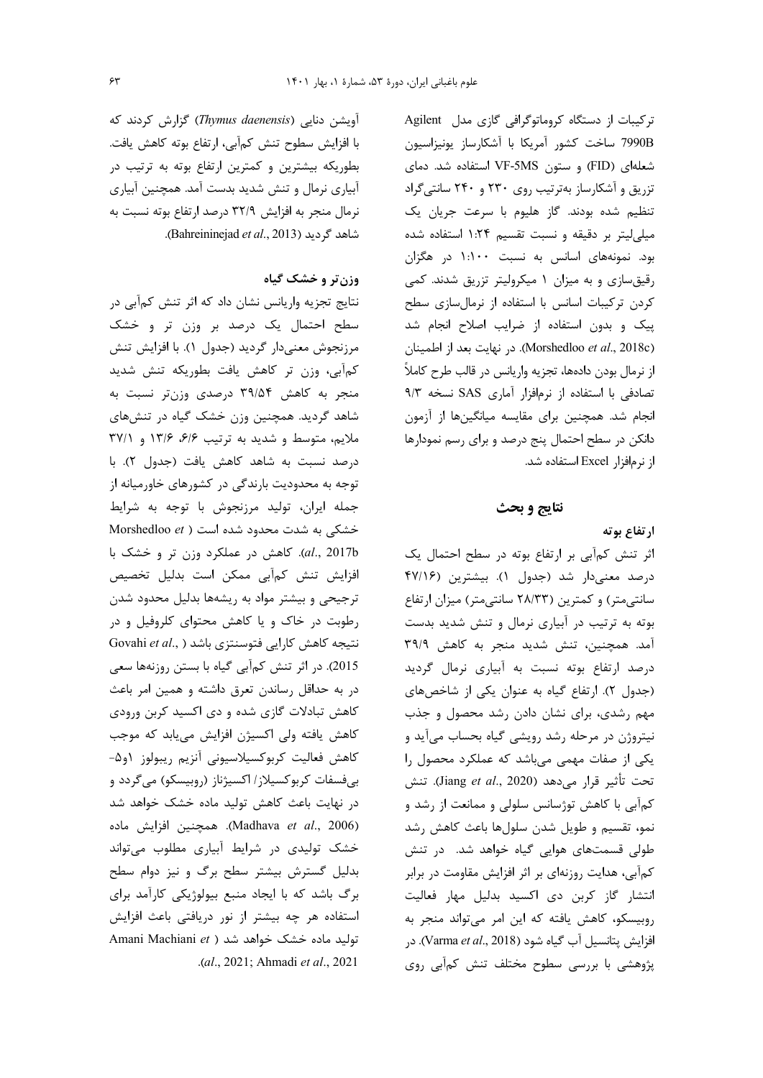ترکیبات از دستگاه کروماتوگرافی گازی مدل Agilent 7990B ساخت كشور آمريكا با آشكارساز يونيزاسيون شعلهای (FID) و ستون VF-5MS استفاده شد. دمای تزریق و آشکارساز بهترتیب روی ۲۳۰ و ۲۴۰ سانتی گراد تنظیم شده بودند. گاز هلیوم با سرعت جریان یک میلی لیتر بر دقیقه و نسبت تقسیم ۱:۲۴ استفاده شده بود. نمونههای اسانس به نسبت ۱:۱۰۰ در هگزان رقیق سازی و به میزان ۱ میکرولیتر تزریق شدند. کمی کردن ترکیبات اسانس با استفاده از نرمالسازی سطح پیک و بدون استفاده از ضرایب اصلاح انجام شد (Morshedloo et al., 2018c). در نهايت بعد از اطمينان از نرمال بودن دادهها، تجزيه واريانس در قالب طرح كاملاً تصادفی با استفاده از نرمافزار آماری SAS نسخه ۹/۳ انجام شد. همچنین برای مقایسه میانگینها از آزمون دانکن در سطح احتمال پنج درصد و برای رسم نمودارها از نرمافزار Excel استفاده شد.

### نتايج و بحث

### ارتفاع بوته

اثر تنش کمآبی بر ارتفاع بوته در سطح احتمال یک درصد معنى دار شد (جدول ١). بيشترين (١٢/١٤ سانتی متر) و کمترین (۲۸/۳۳ سانتی متر) میزان ارتفاع بوته به ترتیب در آبیاری نرمال و تنش شدید بدست آمد. همچنین، تنش شدید منجر به کاهش ۳۹/۹ درصد ارتفاع بوته نسبت به آبیاری نرمال گردید (جدول ٢). ارتفاع گياه به عنوان يكي از شاخصهاي مهم رشدی، برای نشان دادن رشد محصول و جذب نیتروژن در مرحله رشد رویشی گیاه بحساب میآید و یکی از صفات مهمی میباشد که عملکرد محصول را تحت تأثير قرار مي دهد (Jiang et al., 2020). تنش کمآبی با کاهش توژسانس سلولی و ممانعت از رشد و نمو، تقسیم و طویل شدن سلولها باعث کاهش رشد طولی قسمتهای هوایی گیاه خواهد شد. در تنش کمآبی، هدایت روزنهای بر اثر افزایش مقاومت در برابر انتشار گاز کربن دی اکسید بدلیل مهار فعالیت روبیسکو، کاهش یافته که این امر می تواند منجر به افزايش يتانسيل آب گياه شود (Varma et al., 2018). در پژوهشی با بررسی سطوح مختلف تنش کمآبی روی

آویشن دنایی (Thymus daenensis) گزارش کردند که با افزایش سطوح تنش کمآبی، ارتفاع بوته کاهش یافت. بطوریکه بیشترین و کمترین ارتفاع بوته به ترتیب در آبیاری نرمال و تنش شدید بدست آمد. همچنین آبیاری نرمال منجر به افزایش ۳۲/۹ درصد ارتفاع بوته نسبت به .(Bahreininejad et al., 2013).

# وزن تر و خشک گیاه

نتایج تجزیه واریانس نشان داد که اثر تنش کمآبی در سطح احتمال یک درصد بر وزن تر و خشک مرزنجوش معنىدار گرديد (جدول ١). با افزايش تنش كمآبى، وزن تر كاهش يافت بطوريكه تنش شديد منجر به کاهش ۳۹/۵۴ درصدی وزنتر نسبت به شاهد گردید. همچنین وزن خشک گیاه در تنشهای ملايم، متوسط و شديد به ترتيب ۶/۶، ١٣/۶ و ٣٧/١ درصد نسبت به شاهد كاهش يافت (جدول ٢). با توجه به محدودیت بارندگی در کشورهای خاورمیانه از جمله ايران، توليد مرزنجوش با توجه به شرايط خشکی به شدت محدود شده است ( Morshedloo et al., 2017b). كاهش در عملكرد وزن تر و خشك با افزایش تنش کمآبی ممکن است بدلیل تخصیص ترجیحی و بیشتر مواد به ریشهها بدلیل محدود شدن رطوبت در خاک و یا کاهش محتوای کلروفیل و در Govahi et al., ) نتیجه کاهش کارایی فتوسنتزی باشد 2015). در اثر تنش كمآبي گياه با بستن روزنهها سعي در به حداقل رساندن تعرق داشته و همین امر باعث کاهش تبادلات گازی شده و دی اکسید کربن ورودی كاهش يافته ولى اكسيژن افزايش مىيابد كه موجب كاهش فعاليت كربوكسيلاسيوني أنزيم ريبولوز او۵-بیفسفات کربوکسیلاز/ اکسیژناز (روبیسکو) میگردد و در نهایت باعث کاهش تولید ماده خشک خواهد شد (Madhava et al., 2006). همچنین افزایش ماده خشک تولیدی در شرایط آبیاری مطلوب می تواند بدلیل گسترش بیشتر سطح برگ و نیز دوام سطح برگ باشد که با ایجاد منبع بیولوژیکی کارآمد برای استفاده هر چه بیشتر از نور دریافتی باعث افزایش Amani Machiani et ) تولید ماده خشک خواهد شد .(al., 2021; Ahmadi et al., 2021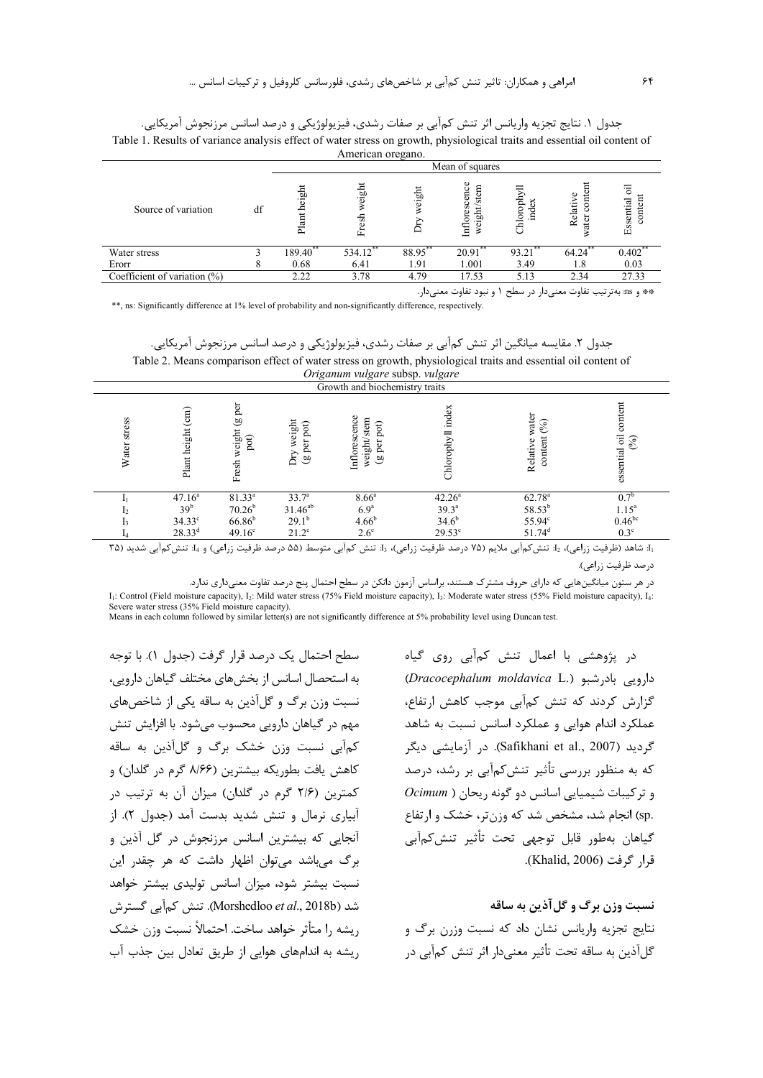| Table 1. Results of variance analysis effect of water stress on growth, physiological traits and essential oil content of<br>American oregano. |    |                 |                 |            |                                               |            |                             |                           |  |
|------------------------------------------------------------------------------------------------------------------------------------------------|----|-----------------|-----------------|------------|-----------------------------------------------|------------|-----------------------------|---------------------------|--|
|                                                                                                                                                |    | Mean of squares |                 |            |                                               |            |                             |                           |  |
| Source of variation                                                                                                                            | df | height<br>Plant | weight<br>Fresh | eight<br>ځ | cence<br>stem<br>ores<br>ight<br>$\mathbb{H}$ | hlorophyl  | $rac{1}{2}$<br>ω<br>Relativ | ह<br>content<br>Essential |  |
| Water stress                                                                                                                                   |    | $189.40***$     | 534.12**        | 88.95**    | $20.91$ **                                    | $93.21$ ** | $64.24$ **                  | $0.402$ **                |  |
| Erorr                                                                                                                                          |    | 0.68            | 6.41            | 1.91       | 1.001                                         | 3.49       | 1.8                         | 0.03                      |  |
| Coefficient of variation $(\%)$                                                                                                                |    | 2.22            | 3.78            | 4.79       | 17.53                                         | 5.13       | 2.34                        | 27.33                     |  |

جدول ١. نتايج تجزيه واريانس اثر تنش كمآبي بر صفات رشدي، فيزيولوژيكي و درصد اسانس مرزنجوش آمريكايي.

\*\*, ns: Significantly difference at 1% level of probability and non-significantly difference, respectively.

جدول ٢. مقايسه ميانگين اثر تنش كمآبي بر صفات رشدي، فيزيولوژيكي و درصد اسانس مرزنجوش آمريكايي. Table 2. Means comparison effect of water stress on growth, physiological traits and essential oil content of

|                 |                                 |                                      |                                     | <i>Origunum vuigure suosp. vuigure</i><br>Growth and biochemistry traits   |                      |                                                   |                                   |
|-----------------|---------------------------------|--------------------------------------|-------------------------------------|----------------------------------------------------------------------------|----------------------|---------------------------------------------------|-----------------------------------|
| stress<br>Water | $\binom{cm}{ }$<br>Plant height | per<br>6Q<br>weight<br>pot)<br>Fresh | weight<br>≎<br>po<br>تة<br>Dry<br>అ | Inflorescence<br>stem<br>pot)<br>weight/s<br>per<br>$\widehat{\mathbf{a}}$ | index<br>Chlorophyll | water<br>$\mathcal{S}_{0}$<br>content<br>Relative | content<br>essential oil<br>$(%)$ |
|                 | 47.16 <sup>a</sup>              | $81.33^{a}$                          | 33.7 <sup>a</sup>                   | $8.66^{\circ}$                                                             | $42.26^a$            | $62.78^{a}$                                       | $0.7^{b}$                         |
|                 | 39 <sup>b</sup>                 | $70.26^{\rm b}$                      |                                     | 6.9 <sup>a</sup>                                                           | $39.3^{a}$           | $58.53^{b}$                                       | $1.15^{a}$                        |
|                 | $34.33^\circ$                   | $66.86^{\rm b}$                      | $31.46^\mathrm{ab}$ 29.1b           | $4.66^{b}$                                                                 | $34.6^{b}$           | 55.94°                                            | $0.46^{bc}$                       |
|                 | $28.33^{d}$                     | 49.16 <sup>c</sup>                   | $21.2^{\circ}$                      | $2.6^\circ$                                                                | $29.53^{\circ}$      | $51.74$ <sup>d</sup>                              | $0.3^\circ$                       |

<sub>، آ</sub>. شاهد (ظرفیت زراعی)، ۱<sub>2</sub>: تنش *ک*مآبی ملایم (۷۵ درصد ظرفیت زراعی)، 1<sub>3</sub>: تنش کمآبی متوسط (۵۵ درصد ظرفیت زراعی) و 1<sub>4</sub> تنش *ک*مآبی شدید (۳۵ درصد ظرفيت زراعي).

در هر ستون میانگینهایی که دارای حروف مشترک هستند، براساس آزمون دانکن در سطح احتمال پنج درصد تفاوت معنیداری ندارد.

I<sub>1</sub>: Control (Field moisture capacity), I<sub>2</sub>: Mild water stress (75% Field moisture capacity), I<sub>3</sub>: Moderate water stress (55% Field moisture capacity), I<sub>4</sub>: Severe water stress (35% Field moisture capacity).

Means in each column followed by similar letter(s) are not significantly difference at 5% probability level using Duncan test.

سطح احتمال یک درصد قرار گرفت (جدول ۱). با توجه به استحصال اسانس از بخش های مختلف گیاهان دارویی، نسبت وزن برگ و گلآذین به ساقه یکی از شاخصهای مهم در گیاهان دارویی محسوب می شود. با افزایش تنش کمآبی نسبت وزن خشک برگ و گلآذین به ساقه كاهش يافت بطوريكه بيشترين (۸/۶۶ گرم در گلدان) و کمترین (۲/۶ گرم در گلدان) میزان آن به ترتیب در آبیاری نرمال و تنش شدید بدست آمد (جدول ۲). از آنجایی که بیشترین اسانس مرزنجوش در گل آذین و برگ می باشد می توان اظهار داشت که هر چقدر این نسبت بیشتر شود، میزان اسانس تولیدی بیشتر خواهد شد (Morshedloo *et al.*, 2018b). تنش كم آبي گستر ش ريشه را متأثر خواهد ساخت. احتمالاً نسبت وزن خشک ریشه به اندامهای هوایی از طریق تعادل بین جذب آب

در پژوهشی با اعمال تنش کمآبی روی گیاه دارویی بادرشبو (.Dracocephalum moldavica L) گزارش کردند که تنش کمآبی موجب کاهش ارتفاع، عملکرد اندام هوایی و عملکرد اسانس نسبت به شاهد گردید (Safikhani et al., 2007). در آزمایشی دیگر که به منظور بررسی تأثیر تنش کمآبی بر رشد، درصد  $Ocimum$  ) و ترکیبات شیمیایی اسانس دو گونه ریحان .sp) انجام شد، مشخص شد که وزن تر، خشک و ارتفاع گياهان بهطور قابل توجهي تحت تأثير تنش2مآبي قرا, گرفت (Khalid, 2006).

\*\* و as: بهترتیب تفاوت معنیدار در سطح ۱ و نبود تفاوت معنیدار.

نسبت وزن برگ و گل آذين به ساقه نتایج تجزیه واریانس نشان داد که نسبت وزرن برگ و گل آذین به ساقه تحت تأثیر معنیدار اثر تنش کمآبی در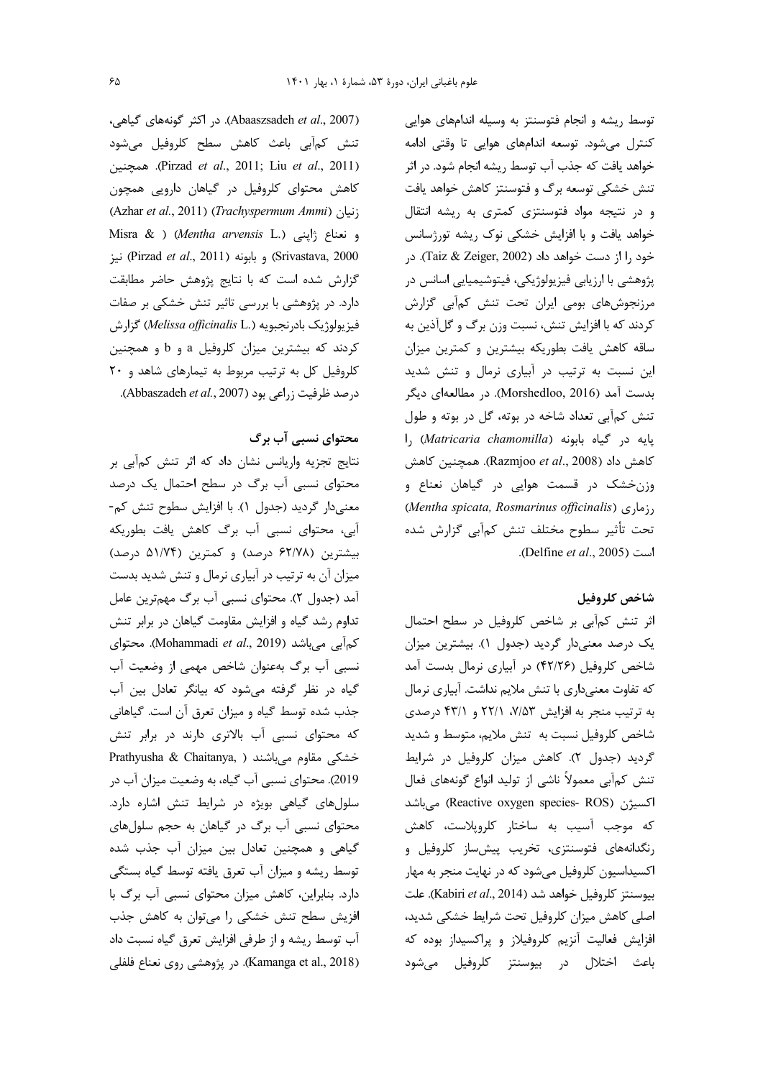$\mathcal{S}\Delta$ 

(Abaaszsadeh et al., 2007). در اكثر گونههای گیاهی، تنش كم آبي باعث كاهش سطح كلروفيل مى شود .erizad et al., 2011; Liu et al., 2011). همچنین کاهش محتوای کلروفیل در گیاهان دارویی همچون (Azhar et al., 2011) (Trachyspermum Ammi) زنیان Misra & ) (Mentha arvensis L.) و نعناع ث Erivastava, 2000) و بابونه (Pirzad et al., 2011) نيز گزارش شده است که با نتایج پژوهش حاضر مطابقت دارد. در پژوهشی با بررسی تاثیر تنش خشکی بر صفات فیزیولوژیک بادرنجبویه (Melissa officinalis L.) گزارش کردند که بیشترین میزان کلروفیل a و b و همچنین کلروفیل کل به ترتیب مربوط به تیمارهای شاهد و ٢٠ درصد ظرفیت زراعی بود (Abbaszadeh *et al.,* 2007).

محتوای نسبی آب برگ

نتايج تجزيه واريانس نشان داد كه اثر تنش كمآبي بر محتوای نسبی آب برگ در سطح احتمال یک درصد معنیدار گردید (جدول ۱). با افزایش سطوح تنش کم-آبي، محتواي نسبي آب برگ كاهش يافت بطوريكه بیشترین (۶۲/۷۸ درصد) و کمترین (۵۱/۷۴ درصد) میزان آن به ترتیب در آبیاری نرمال و تنش شدید بدست آمد (جدول ۲). محتوای نسبی آب برگ مهمترین عامل تداوم رشد گیاه و افزایش مقاومت گیاهان در برابر تنش كمآبى مى باشد (Mohammadi et al., 2019). محتواي نسبی آب برگ بهعنوان شاخص مهمی از وضعیت آب گیاه در نظر گرفته میشود که بیانگر تعادل بین آب جذب شده توسط گیاه و میزان تعرق آن است. گیاهانی که محتوای نسبی آب بالاتری دارند در برابر تنش Prathyusha & Chaitanya, ) خشکی مقاوم میباشند 2019). محتوای نسبی آب گیاه، به وضعیت میزان آب در سلول های گیاهی بویژه در شرایط تنش اشاره دارد. محتوای نسبی آب برگ در گیاهان به حجم سلولهای گیاهی و همچنین تعادل بین میزان آب جذب شده توسط ریشه و میزان آب تعرق یافته توسط گیاه بستگی دارد. بنابراین، کاهش میزان محتوای نسبی آب برگ با افزیش سطح تنش خشکی را می توان به کاهش جذب آب توسط ریشه و از طرفی افزایش تعرق گیاه نسبت داد (Kamanga et al., 2018). در پژوهشی روی نعناع فلفلی

توسط ریشه و انجام فتوسنتز به وسیله اندامهای هوایی کنترل میشود. توسعه اندامهای هوایی تا وقتی ادامه خواهد يافت كه جذب آب توسط ريشه انجام شود. در اثر تنش خشکی توسعه برگ و فتوسنتز کاهش خواهد یافت و در نتیجه مواد فتوسنتزی کمتری به ریشه انتقال خواهد یافت و با افزایش خشکی نوک ریشه تورژسانس خود را از دست خواهد داد (Taiz & Zeiger, 2002). در پژوهشی با ارزیابی فیزیولوژیکی، فیتوشیمیایی اسانس در مرزنجوشهای بومی ایران تحت تنش کمآبی گزارش کردند که با افزایش تنش، نسبت وزن برگ و گلآذین به ساقه كاهش يافت بطوريكه بيشترين و كمترين ميزان این نسبت به ترتیب در آبیاری نرمال و تنش شدید بدست آمد (Morshedloo, 2016). در مطالعهای دیگر تنش کمآبی تعداد شاخه در بوته، گل در بوته و طول پایه در گیاه بابونه (Matricaria chamomilla) را كاهش داد (Razmjoo et al., 2008). همچنين كاهش وزن خشک در قسمت هوایی در گیاهان نعناع و (Mentha spicata, Rosmarinus officinalis) ( $\lambda$ ; تحت تأثير سطوح مختلف تنش كمآبى گزارش شده .(Delfine et al., 2005).

# شاخص كلروفيل

اثر تنش کمآبی بر شاخص کلروفیل در سطح احتمال یک درصد معنیدار گردید (جدول ۱). بیشترین میزان شاخص کلروفیل (۴۲/۲۶) در آبیاری نرمال بدست آمد كه تفاوت معنىدارى با تنش ملايم نداشت. آبياري نرمال به ترتیب منجر به افزایش ۷/۵۳، ۲۲/۱ و ۴۳/۱ درصدی شاخص كلروفيل نسبت به تنش ملايم، متوسط و شديد گردید (جدول ٢). كاهش میزان كلروفیل در شرایط تنش کمآبی معمولاً ناشی از تولید انواع گونههای فعال اکسیژن (Reactive oxygen species- ROS) می باشد که موجب آسیب به ساختار کلروپلاست، کاهش رنگدانههای فتوسنتزی، تخریب پیش ساز کلروفیل و اکسیداسیون کلروفیل می شود که در نهایت منجر به مهار بيوسنتز كلروفيل خواهد شد (Kabiri et al., 2014). علت اصلی کاهش میزان کلروفیل تحت شرایط خشکی شدید، افزایش فعالیت آنزیم کلروفیلاز و پراکسیداز بوده که باعث اختلال در بيوسنتز كلروفيل مى شود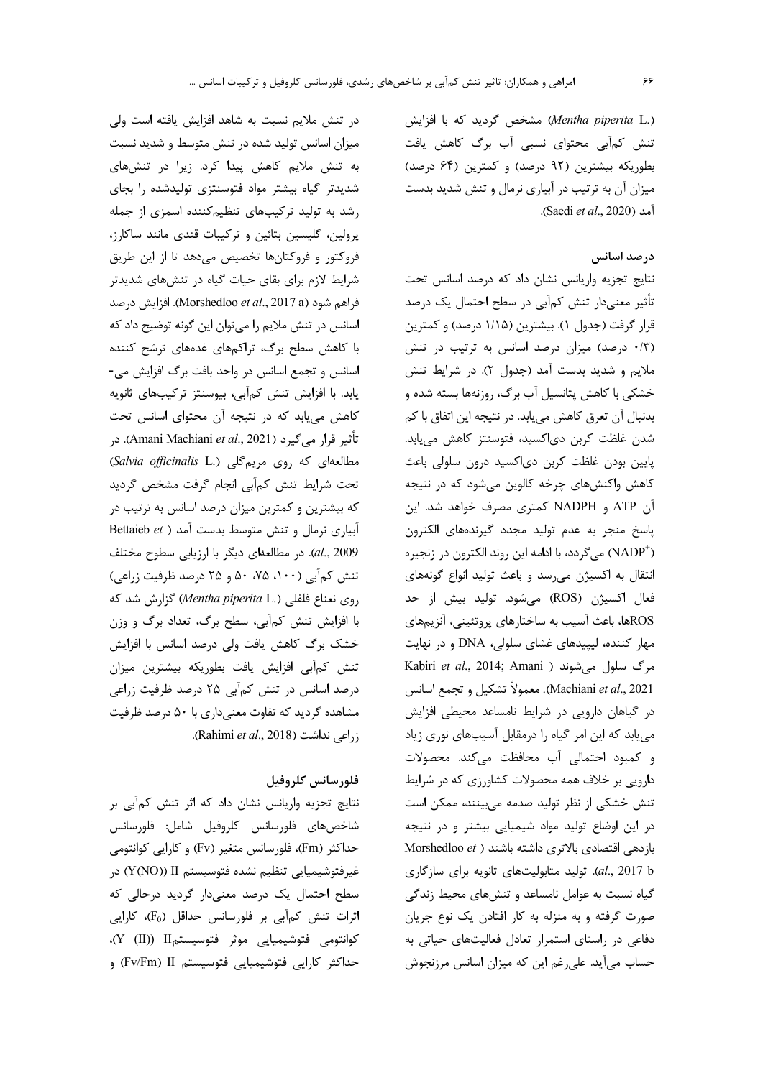(.Mentha piperita L) مشخص گردید که با افزایش تنش کمآبی محتوای نسبی آب برگ کاهش یافت بطوریکه بیشترین (۹۲ درصد) و کمترین (۶۴ درصد) میزان آن به ترتیب در آبیاری نرمال و تنش شدید بدست .(Saedi et al., 2020).

# درصد اسانس

نتايج تجزيه واريانس نشان داد كه درصد اسانس تحت تأثیر معنیدار تنش کمآبی در سطح احتمال یک درصد قرار گرفت (جدول ۱). بیشترین (۱/۱۵ درصد) و کمترین (۰/۳ درصد) میزان درصد اسانس به ترتیب در تنش ملايم و شديد بدست آمد (جدول ٢). در شرايط تنش خشکی با کاهش پتانسیل آب برگ، روزنهها بسته شده و بدنبال آن تعرق كاهش مي يابد. در نتيجه اين اتفاق با كم شدن غلظت كربن دىاكسيد، فتوسنتز كاهش مىيابد. پایین بودن غلظت کربن دیاکسید درون سلولی باعث کاهش واکنشهای چرخه کالوین می شود که در نتیجه آن ATP و NADPH كمترى مصرف خواهد شد. اين یاسخ منجر به عدم تولید مجدد گیرندههای الکترون (NADP<sup>+</sup>) می گردد، با ادامه این روند الکترون در زنجیره انتقال به اکسیژن می رسد و باعث تولید انواع گونههای فعال اکسیژن (ROS) می شود. تولید بیش از حد ROSها، باعث آسیب به ساختارهای پروتئینی، آنزیمهای مهار کننده، لیپیدهای غشای سلولی، DNA و در نهایت Kabiri et al., 2014; Amani ) مرگ سلول میشوند Machiani *et al*., 2021). معمولاً تشكيل و تجمع اسانس در گیاهان دارویی در شرایط نامساعد محیطی افزایش می یابد که این امر گیاه را درمقابل آسیبهای نوری زیاد و كمبود احتمالي أب محافظت مى كند. محصولات دارویی بر خلاف همه محصولات کشاورزی که در شرایط تنش خشکی از نظر تولید صدمه میبینند، ممکن است در این اوضاع تولید مواد شیمیایی بیشتر و در نتیجه بازدهی اقتصادی بالاتری داشته باشند ( Morshedloo et al., 2017 b). تولید متابولیتهای ثانویه برای سازگاری گیاه نسبت به عوامل نامساعد و تنشهای محیط زندگی صورت گرفته و به منزله به کار افتادن یک نوع جریان دفاعی در راستای استمرار تعادل فعالیتهای حیاتی به حساب می آید. علی رغم این که میزان اسانس مرزنجوش

در تنش ملايم نسبت به شاهد افزايش يافته است ولى میزان اسانس تولید شده در تنش متوسط و شدید نسبت به تنش ملايم كاهش پيدا كرد. زيرا در تنشهاى شدیدتر گیاه بیشتر مواد فتوسنتزی تولیدشده را بجای رشد به تولید ترکیبهای تنظیم کننده اسمزی از جمله پرولین، گلیسین بتائین و ترکیبات قندی مانند ساکارز، فروكتور و فروكتانها تخصيص مىدهد تا از اين طريق شرایط لازم برای بقای حیات گیاه در تنشهای شدیدتر فراهم شود (Morshedloo et al., 2017 a). افزایش درصد اسانس در تنش ملايم را مي توان اين گونه توضيح داد كه با کاهش سطح برگ، تراکمهای غدههای ترشح کننده اسانس و تجمع اسانس در واحد بافت برگ افزایش می-یابد. با افزایش تنش کمآبی، بیوسنتز ترکیبهای ثانویه کاهش مییابد که در نتیجه آن محتوای اسانس تحت تأثير قرار مي گيرد (Amani Machiani *et al*., 2021). در (Salvia officinalis L.) مطالعهای که روی مریم گلی تحت شرایط تنش کمآبی انجام گرفت مشخص گردید که بیشترین و کمترین میزان درصد اسانس به ترتیب در آبیاری نرمال و تنش متوسط بدست آمد ( Bettaieb et al., 2009). در مطالعهای دیگر با ارزیابی سطوح مختلف تنش کمآبی (۱۰۰، ۷۵، ۵۰ و ۲۵ درصد ظرفیت زراعی) روى نعناع فلفلى (Mentha piperita L.) كزارش شد كه با افزایش تنش کمآبی، سطح برگ، تعداد برگ و وزن خشک برگ کاهش یافت ولی درصد اسانس با افزایش تنش كمآبي افزايش يافت بطوريكه بيشترين ميزان درصد اسانس در تنش کمآبی ۲۵ درصد ظرفیت زراعی مشاهده گردید که تفاوت معنیداری با ۵۰ درصد ظرفیت .(اعی نداشت (Rahimi *et al.*, 2018).

## فلورسانس كلروفيل

نتایج تجزیه واریانس نشان داد که اثر تنش کمآبی بر شاخصهای فلورسانس كلروفيل شامل: فلورسانس حداکثر (Fm)، فلورسانس متغیر (Fv) و کارایی کوانتومی غيرفتوشيميايي تنظيم نشده فتوسيستم II ((Y(NO)) در سطح احتمال یک درصد معنیدار گردید درحالی که اثرات تنش کمآبی بر فلورسانس حداقل (F0)، کارایی كوانتومى فتوشيميايي موثر فتوسيستمII (X (II)). حداکثر کارایی فتوشیمیایی فتوسیستم Fv/Fm) II) و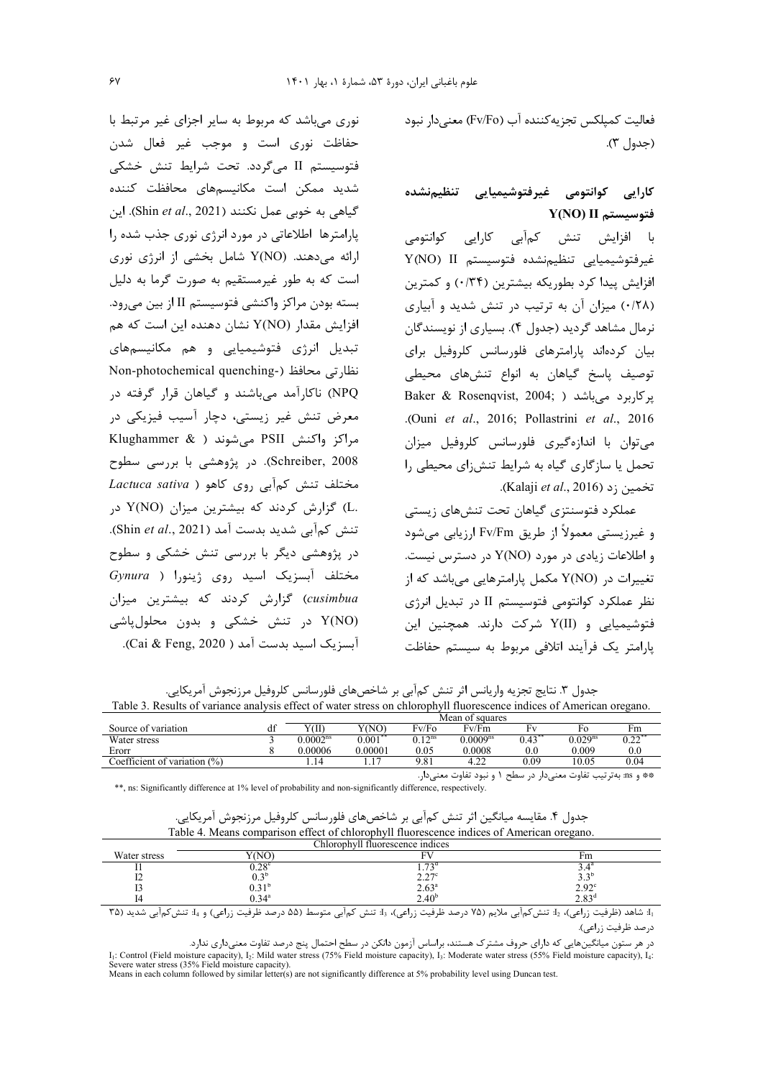فعالیت کمپلکس تجزیهکننده آب (Fv/Fo) معنے دار نبود (جدول ۳).

# كارايي كوانتومي غيرفتوشيميايي تنظيمنشده  $Y(NO)$  ii فتوسيستم  $Y(NO)$

با افزایش تنش کمآبی کارایی کوانتومی غيرفتوشيميايي تنظيم نشده فتوسيستم Y(NO) II افزایش پیدا کرد بطوریکه بیشترین (۰/۳۴) و کمترین (۰/۲۸) میزان آن به ترتیب در تنش شدید و آبیاری نرمال مشاهد گردید (جدول ۴). بسیاری از نویسندگان بیان کردهاند پارامترهای فلورسانس کلروفیل برای توصیف پاسخ گیاهان به انواع تنشهای محیطی Baker & Rosenqvist, 2004; ) یرکاربرد می باشد ( .(Ouni et al., 2016; Pollastrini et al., 2016 مے توان یا اندازہ گیری فلورسانس کلروفیل میزان تحمل یا سازگاری گیاه به شرایط تنشiای محیطی را تخمين ; د (Kalaji et al., 2016).

عملکرد فتوسنتزی گیاهان تحت تنشهای زیستی و غیرزیستی معمولاً از طریق Fv/Fm ارزیابی می شود  $_2$ و اطلاعات زیادی در مورد (Y(NO در دسترس نیست. تغییرات در Y(NO) مکمل پارامترهایی می باشد که از نظر عملکرد کوانتومی فتوسیستم II در تبدیل انرژی فتوشیمیایی و (Y(II شرکت دارند. همچنین این یارامتر یک فرآیند اتلافی مربوط به سیستم حفاظت

نوری می باشد که مربوط به سایر اجزای غیر مرتبط با حفاظت نوری است و موجب غیر فعال شدن فتوسیستم II میگردد. تحت شرایط تنش خشکی شدید ممکن است مکانیسمهای محافظت کننده گیاهی به خوبی عمل نکنند (Shin et al., 2021). این یارامترها اطلاعاتی در مورد انرژی نوری جذب شده را ارائه میدهند. Y(NO) شامل بخشی از انرژی نوری است که به طور غیرمستقیم به صورت گرما به دلیل بسته بودن مراکز واکنشی فتوسیستم II از بین می <sub>د</sub>ود. افزایش مقدار (Y(NO نشان دهنده این است که هم تبدیل انرژی فتوشیمیایی و هم مکانیسمهای Non-photochemical quenching-) نظارتی محافظ (-Non-NPQ) ناکا, آمد می باشند و گیاهان قرار گرفته در معرض تنش غیر زیستی، دچار آسیب فیزیکی در مراكز واكنش PSII مىشوند ( Klughammer & Schreiber, 2008). در پژوهشی با بررسی سطوح Lactuca sativa ) د مختلف تنش کم آبی روی کاهو .L) گزارش کردند که بیشترین میزان (Y(NO در تنش كمآبي شديد بدست آمد (Shin et al., 2021). در پژوهشی دیگر با بررسی تنش خشکی و سطوح Gynura ) اسید روی ژینورا ( Gynura cusimbua) گزارش کردند که بیشترین میزان Y(NO) در تنش خشکی و بدون محلولپاشی آبسزیک اسید بدست آمد ( Cai & Feng, 2020).

 $\overline{1}$ 

جدول ٣. نتايج تجزيه واريانس اثر تنش كم|ْبي بر شاخصهاى فلورسانس كلروفيل مرزنجوش آمريكايي. Table 3. Results of variance analysis effect of water stress on chlorophyll fluorescence indices of American oregano.

|                                 |              | Mean of squares      |         |             |                        |      |                     |                    |
|---------------------------------|--------------|----------------------|---------|-------------|------------------------|------|---------------------|--------------------|
| Source of variation             | $\sim$<br>uг | YŒ                   | Y(NO)   | Fv/Fo       | Fv/Fm                  | Hх   | FО                  | ŀm                 |
| Water stress                    |              | 0.0002 <sup>ns</sup> | 0.001   | $\gamma$ ns | $0.0009$ <sup>ns</sup> |      | 0.029 <sup>ns</sup> | $. \n\neg$<br>J.ZZ |
| Erorr                           |              | 9.00006              | 0.00001 | 0.05        | 0.0008                 |      | 0.009               | $_{\rm 0.0}$       |
| Coefficient of<br>variation (%) |              |                      |         | റ റ<br>1.N  | $\sim$                 | 0.09 | 0.05                | 0.04               |

\*\* و ms: به ترتیب تفاوت معنیدار در سطح ۱ و نبود تفاوت معنیدار.

\*\*, ns: Significantly difference at 1% level of probability and non-significantly difference, respectively.

| جدول ۴. مقايسه ميانگين اثر تنش كمآبي بر شاخصهاي فلورسانس كلروفيل مرزنجوش آمريكايي.       |                     |  |
|------------------------------------------------------------------------------------------|---------------------|--|
| Table 4. Means comparison effect of chlorophyll fluorescence indices of American oregand |                     |  |
|                                                                                          | $C11$ $11C1$ $12C1$ |  |

| Chlorophyll fluorescence indices                |                                             |                                                                                                                                                                                                                                                                                                                                                                                                                                                                                       |                                                                                                                                                                                                                               |  |  |  |
|-------------------------------------------------|---------------------------------------------|---------------------------------------------------------------------------------------------------------------------------------------------------------------------------------------------------------------------------------------------------------------------------------------------------------------------------------------------------------------------------------------------------------------------------------------------------------------------------------------|-------------------------------------------------------------------------------------------------------------------------------------------------------------------------------------------------------------------------------|--|--|--|
| Water stress                                    |                                             |                                                                                                                                                                                                                                                                                                                                                                                                                                                                                       | rm                                                                                                                                                                                                                            |  |  |  |
|                                                 | n noc                                       | 72d                                                                                                                                                                                                                                                                                                                                                                                                                                                                                   |                                                                                                                                                                                                                               |  |  |  |
|                                                 |                                             | 2.27c                                                                                                                                                                                                                                                                                                                                                                                                                                                                                 | $\gamma$ <sub>D</sub>                                                                                                                                                                                                         |  |  |  |
|                                                 |                                             | $2.63^{\circ}$                                                                                                                                                                                                                                                                                                                                                                                                                                                                        | າ ດາ <sup>ເ</sup>                                                                                                                                                                                                             |  |  |  |
|                                                 |                                             | $.40^{\circ}$                                                                                                                                                                                                                                                                                                                                                                                                                                                                         | റെ                                                                                                                                                                                                                            |  |  |  |
| $\mathbf{r}$ $\wedge$ $\mathbf{r}$ $\mathbf{r}$ | Article Line Alternation of the AAM Line of | $\mathbf{A} \cdot \mathbf{A} \cdot \mathbf{A} \cdot \mathbf{A} \cdot \mathbf{A} \cdot \mathbf{A} \cdot \mathbf{A} \cdot \mathbf{A} \cdot \mathbf{A} \cdot \mathbf{A} \cdot \mathbf{A} \cdot \mathbf{A} \cdot \mathbf{A} \cdot \mathbf{A} \cdot \mathbf{A} \cdot \mathbf{A} \cdot \mathbf{A} \cdot \mathbf{A} \cdot \mathbf{A} \cdot \mathbf{A} \cdot \mathbf{A} \cdot \mathbf{A} \cdot \mathbf{A} \cdot \mathbf{A} \cdot \mathbf{A} \cdot \mathbf{A} \cdot \mathbf{A} \cdot \mathbf{$ | and the second that is a second to the second to the second the second to the second the second to the second to the second to the second to the second to the second to the second to the second to the second to the second |  |  |  |

(ظرفيت زراعي)، 11 تنش2م|أبي ملايم (٧۵ درصد ظرفيت زراعي)، 13 تنش كم|أبي متوسط (۵۵ درصد ظرفيت زراعي) و 14 تنش2م|أبي شديد (٣۵ د, صد ظرفيت زراعي).

I<sub>1</sub>: Control (Field moisture capacity), I<sub>2</sub>: Mild water stress (75% Field moisture capacity), I<sub>3</sub>: Moderate water stress (55% Field moisture capacity), I<sub>4</sub>: Severe water stress (35% Field moisture capacity).<br>
Means in each column followed by similar letter(s) are not significantly difference at 5% probability level using Duncan test.

در هر ستون میانگینهایی که دارای حروف مشترک هستند، براساس آزمون دانکن در سطح احتمال پنج درصد تفاوت معنیداری ندارد.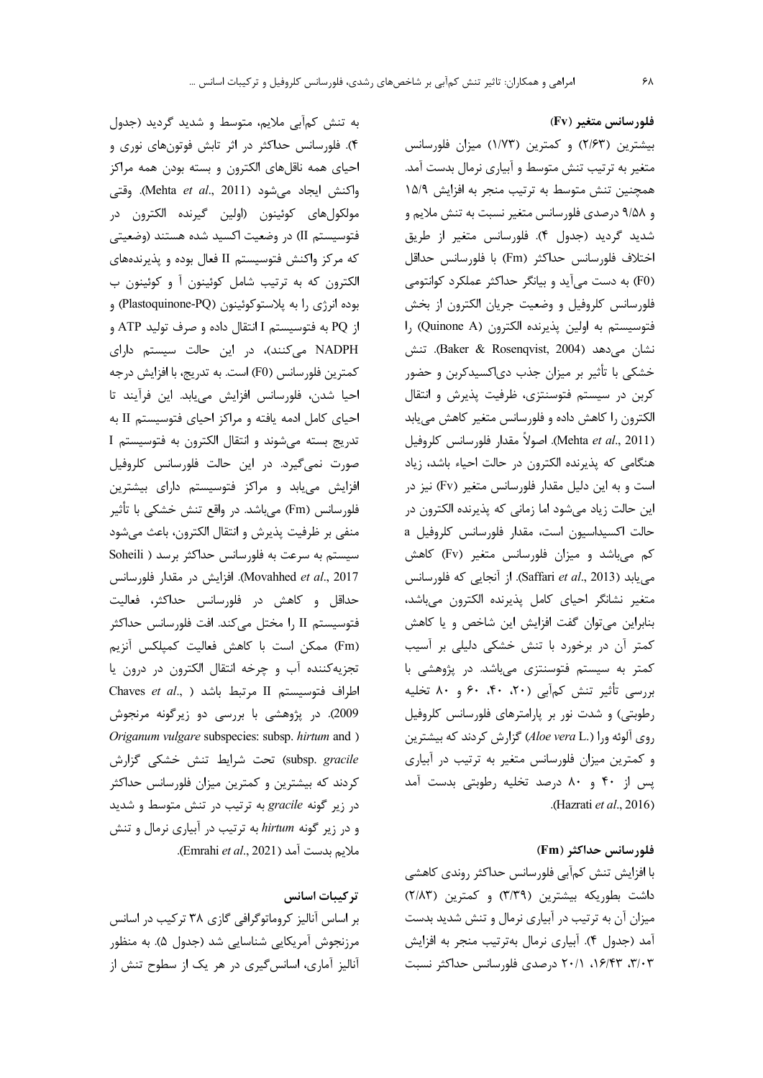به تنش کمآبی ملایم، متوسط و شدید گردید (جدول ۴). فلورسانس حداکثر در اثر تابش فوتونهای نوری و احیای همه ناقلهای الکترون و بسته بودن همه مراکز واكنش ايجاد مي شود (Mehta et al., 2011). وقتى مولکولهای کوئینون (اولین گیرنده الکترون در فتوسيستم II) در وضعيت اكسيد شده هستند (وضعيتي که مرکز واکنش فتوسیستم II فعال بوده و پذیرندههای الکترون که به ترتیب شامل کوئینون آ و کوئینون ب بوده انرژی را به پلاستوکوئینون (Plastoquinone-PQ) و از PQ به فتوسيستم I انتقال داده و صرف توليد ATP و NADPH می کنند)، در این حالت سیستم دارای كمترين فلورسانس (F0) است. به تدريج، با افزايش درجه احيا شدن، فلورسانس افزايش مى يابد. اين فرآيند تا احیای کامل ادمه یافته و مراکز احیای فتوسیستم II به تدريج بسته مي شوند و انتقال الكترون به فتوسيستم I صورت نمیگیرد. در این حالت فلورسانس کلروفیل افزایش می یابد و مراکز فتوسیستم دارای بیشترین فلورسانس (Fm) میباشد. در واقع تنش خشکی با تأثیر منفي بر ظرفيت پذيرش و انتقال الكترون، باعث ميشود سیستم به سرعت به فلورسانس حداکثر برسد ( Soheili Movahhed et al., 2017). افزایش در مقدار فلورسانس حداقل و کاهش در فلورسانس حداکثر، فعالیت فتوسيستم I, II مختل مي كند. افت فلورسانس حداكثر (Fm) ممكن است با كاهش فعاليت كميلكس آنزيم تجزيه كننده آب و چرخه انتقال الكترون در درون يا Chaves et al., ) اطراف فتوسيستم II مرتبط باشد 2009). در پژوهشی با بررسی دو زیرگونه مرنجوش Origanum vulgare subspecies: subsp. hirtum and ) subsp. gracile) تحت شرايط تنش خشكى گزارش کردند که بیشترین و کمترین میزان فلورسانس حداکثر در زیر گونه gracile به ترتیب در تنش متوسط و شدید و در زیر گونه hirtum به ترتیب در آبیاری نرمال و تنش ملايم بدست آمد (Emrahi et al., 2021).

## تركيبات اسانس

بر اساس آنالیز کروماتوگرافی گازی ۳۸ ترکیب در اسانس مرزنجوش آمریکایی شناسایی شد (جدول ۵). به منظور آنالیز آماری، اسانس گیری در هر یک از سطوح تنش از

فلورسانس متغير (Fv) بیشترین (۲/۶۳) و کمترین (۱/۷۳) میزان فلورسانس متغیر به ترتیب تنش متوسط و آبیاری نرمال بدست آمد. همچنین تنش متوسط به ترتیب منجر به افزایش ۱۵/۹ و ۹/۵۸ درصدی فلورسانس متغیر نسبت به تنش ملایم و شديد گرديد (جدول ۴). فلورسانس متغير از طريق اختلاف فلورسانس حداكثر (Fm) با فلورسانس حداقل (F0) به دست می آید و بیانگر حداکثر عملکرد کوانتومی فلورسانس كلروفيل و وضعيت جريان الكترون از بخش فتوسيستم به اولين پذيرنده الكترون (Quinone A) را نشان می دهد (Baker & Rosenqvist, 2004). تنش خشکی با تأثیر بر میزان جذب دیاکسیدکربن و حضور کربن در سیستم فتوسنتزی، ظرفیت پذیرش و انتقال الکترون را کاهش داده و فلورسانس متغیر کاهش می یابد (Mehta *et al.*, 2011). اصولاً مقدار فلورسانس كلروفيل هنگامی که پذیرنده الکترون در حالت احیاء باشد، زیاد است و به این دلیل مقدار فلورسانس متغیر (Fv) نیز در این حالت زیاد میشود اما زمانی که پذیرنده الکترون در حالت اكسيداسيون است، مقدار فلورسانس كلروفيل a کم می باشد و میزان فلورسانس متغیر (Fv) کاهش می یابد (Saffari et al., 2013). از آنجایی که فلورسانس متغير نشانگر احياى كامل پذيرنده الكترون مىباشد، بنابراین میتوان گفت افزایش این شاخص و یا کاهش کمتر آن در برخورد با تنش خشکی دلیلی بر آسیب کمتر به سیستم فتوسنتزی میباشد. در پژوهشی با بررسی تأثیر تنش کمآبی (۲۰، ۴۰، ۶۰ و ۸۰ تخلیه رطوبتی) و شدت نور بر پارامترهای فلورسانس کلروفیل روی آلوئه ورا (Aloe vera L.) گزارش کردند که بیشترین و کمترین میزان فلورسانس متغیر به ترتیب در آبیاری پس از ۴۰ و ۸۰ درصد تخلیه رطوبتی بدست آمد (Hazrati et al., 2016).

### فلورسانس حداكثر (Fm)

با افزایش تنش کمآبی فلورسانس حداکثر روندی کاهشی داشت بطوریکه بیشترین (٣/٣٩) و کمترین (٢/٨٣) میزان آن به ترتیب در آبیاری نرمال و تنش شدید بدست أمد (جدول ۴). أبياري نرمال بهترتيب منجر به افزايش ۳/۰۳، ۱۶/۴۳، ۲۰/۱ درصدی فلورسانس حداکثر نسبت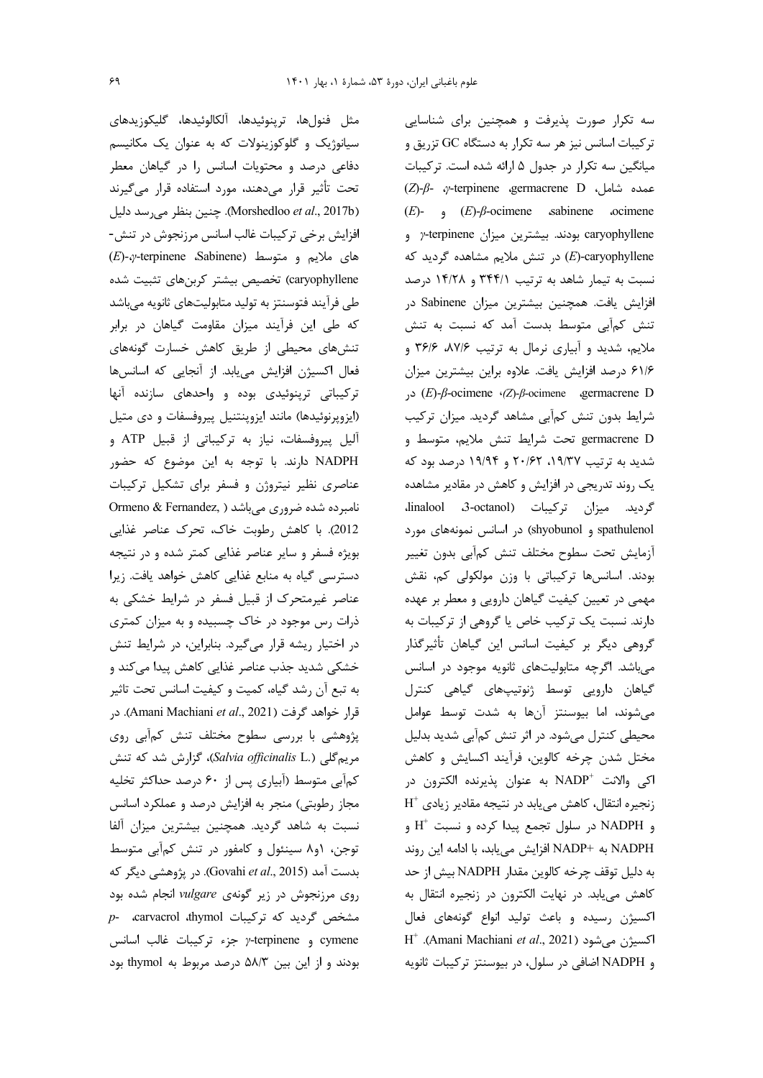۶۹

مثل فنولها، ترينوئيدها، آلكالوئيدها، گليكوزيدهاي سیانوژیک و گلوکوزینولات که به عنوان یک مکانیسم دفاعی درصد و محتویات اسانس را در گیاهان معطر تحت تأثیر قرار می دهند، مورد استفاده قرار می گیرند (Morshedloo et al., 2017b). چنین بنظر می رسد دلیل افزایش برخی ترکیبات غالب اسانس مرزنجوش در تنش- $(E)$ - $\gamma$ -terpinene Sabinene) های ملایم و متوسط caryophyllene) تخصیص بیشتر کربنهای تثبیت شده طی فرآیند فتوسنتز به تولید متابولیتهای ثانویه میباشد که طی این فرآیند میزان مقاومت گیاهان در برابر تنشهای محیطی از طریق کاهش خسارت گونههای فعال اکسیژن افزایش می یابد. از آنجایی که اسانسها ترکیباتی ترپنوئیدی بوده و واحدهای سازنده آنها (ایزوپرنوئیدها) مانند ایزوپنتنیل پیروفسفات و دی متیل آلیل پیروفسفات، نیاز به ترکیباتی از قبیل ATP و NADPH دارند. با توجه به این موضوع که حضور عناصری نظیر نیتروژن و فسفر برای تشکیل ترکیبات Ormeno & Fernandez, ) نامبرده شده ضروری میباشد 2012). با كاهش رطوبت خاك، تحرك عناصر غذايي بویژه فسفر و سایر عناصر غذایی کمتر شده و در نتیجه دسترسی گیاه به منابع غذایی کاهش خواهد یافت. زیرا عناصر غیرمتحرک از قبیل فسفر در شرایط خشکی به ذرات رس موجود در خاک چسبیده و به میزان کمتری در اختیار ریشه قرار میگیرد. بنابراین، در شرایط تنش خشکی شدید جذب عناصر غذایی کاهش پیدا میکند و به تبع آن رشد گیاه، کمیت و کیفیت اسانس تحت تاثیر قرار خواهد گرفت (Amani Machiani *et al.*, 2021). در پژوهشی با بررسی سطوح مختلف تنش کمآبی روی مریم گلی (Salvia officinalis L.)، گزارش شد که تنش کمآبی متوسط (آبیاری پس از ۶۰ درصد حداکثر تخلیه مجاز رطوبتی) منجر به افزایش درصد و عملکرد اسانس نسبت به شاهد گردید. همچنین بیشترین میزان آلفا توجن، ۱و۸ سینئول و کامفور در تنش کمآبی متوسط بدست آمد (Govahi *et al.*, 2015). در پژوهشی دیگر که روی مرزنجوش در زیر گونهی vulgare انجام شده بود p- carvacrol thymol بشخص گردید که ترکیبات cymene و terpinene جزء تركيبات غالب اسانس بودند و از این بین ۵۸/۳ درصد مربوط به thymol بود

سه تکرار صورت پذیرفت و همچنین برای شناسایی ترکیبات اسانس نیز هر سه تکرار به دستگاه GC تزریق و میانگین سه تکرار در جدول ۵ ارائه شده است. ترکیبات  $(Z)$ - $\beta$ -  $\gamma$ -terpinene germacrene D محمده شامل، D  $(E)$ -  $\theta$ - $(E)$ - $\beta$ -ocimene sabinene ocimene caryophyllene بودند. بیشترین میزان y-terpinene و E)-caryophyllene) در تنش ملایم مشاهده گردید که نسبت به تیمار شاهد به ترتیب ۳۴۴/۱ و ۱۴/۲۸ درصد افزایش یافت. همچنین بیشترین میزان Sabinene در تنش کمآبی متوسط بدست آمد که نسبت به تنش ملايم، شديد و آبياري نرمال به ترتيب ٨٧/۶، ٣۶/۶ و ۶۱/۶ درصد افزایش یافت. علاوه براین بیشترین میزان  $(E)$ -β-ocimene (Z)-β-ocimene agermacrene D شرایط بدون تنش کمآبی مشاهد گردید. میزان ترکیب germacrene D تحت شرايط تنش ملايم، متوسط و شدید به ترتیب ۱۹/۳۷، ۲۰/۶۲ و ۱۹/۹۴ درصد بود که یک روند تدریجی در افزایش و کاهش در مقادیر مشاهده Eردید. میزان ترکیبات (dinalool 3-octanol. spathulenol و shyobunol) در اسانس نمونههای مورد آزمايش تحت سطوح مختلف تنش كمآبى بدون تغيير بودند. اسانسها تركيباتي با وزن مولكولي كم، نقش مهمی در تعیین کیفیت گیاهان دارویی و معطر بر عهده دارند. نسبت یک ترکیب خاص یا گروهی از ترکیبات به گروهی دیگر بر کیفیت اسانس این گیاهان تأثیرگذار میباشد. اگرچه متابولیتهای ثانویه موجود در اسانس گیاهان دارویی توسط ژنوتیپهای گیاهی کنترل می شوند، اما بیوسنتز آنها به شدت توسط عوامل محیطی کنترل می شود. در اثر تنش کمآبی شدید بدلیل مختل شدن چرخه كالوين، فرآيند اكسايش و كاهش اكي والانت "NADP به عنوان پذيرنده الكترون در  $H^+$  زنجیره انتقال، کاهش می یابد در نتیجه مقادیر زیادی و NADPH در سلول تجمع پیدا کرده و نسبت  $\mathrm{H}^+$  و NADPH به +NADP افزايش مي يابد، با ادامه اين روند به دليل توقف چرخه كالوين مقدار NADPH بيش از حد كاهش مى يابد. در نهايت الكترون در زنجيره انتقال به اکسیژن رسیده و باعث تولید انواع گونههای فعال  $H^+$  .(Amani Machiani et al., 2021) اكسيژن مىشود و NADPH اضافی در سلول، در بیوسنتز ترکیبات ثانویه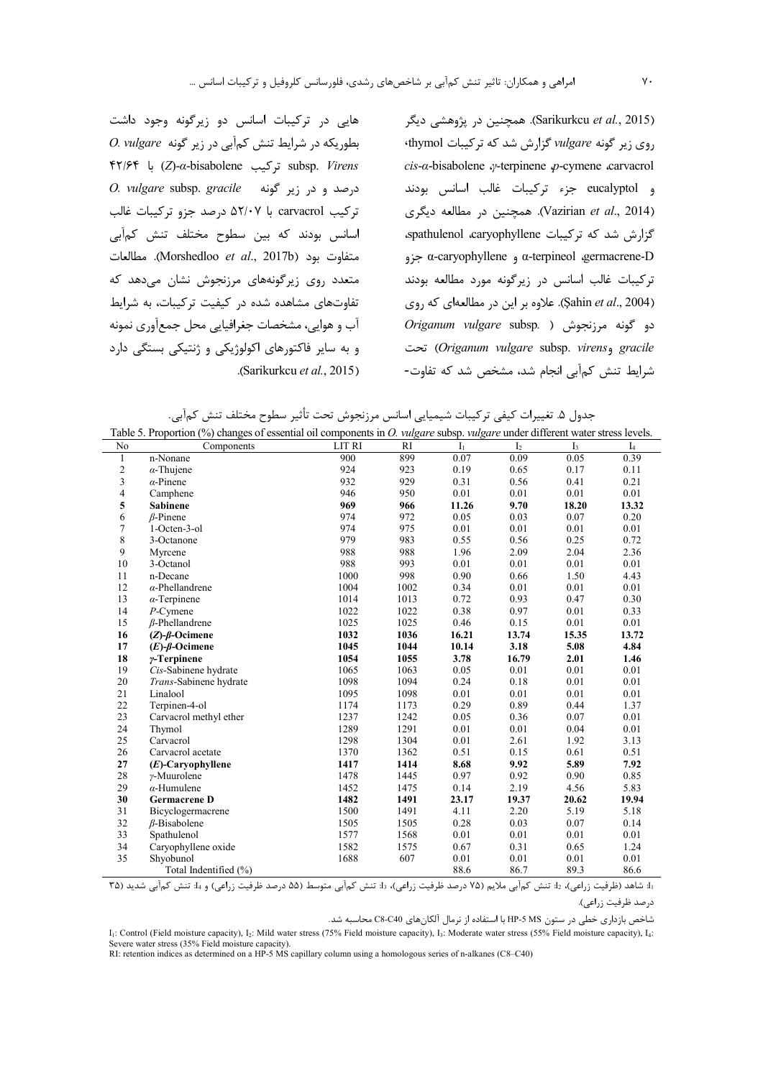هایی در ترکیبات اسانس دو زیرگونه وجود داشت

D. vulgare بطوریکه در شرایط تنش کمآبی در زیر گونه O. vulgare

F٢/۶۴ برکیب Z)-a-bisabolene) با ۴۲/۶۴

O. vulgare subsp. gracile درصد و در زير گونه

تركيب carvacrol با ۵۲/۰۷ درصد جزو تركيبات غالب

اسانس بودند که بین سطوح مختلف تنش کمآبی

متفاوت بود (Morshedloo et al., 2017b). مطالعات

متعدد روی زیرگونههای مرزنجوش نشان می دهد که

تفاوتهای مشاهده شده در کیفیت ترکیبات، به شرایط

آب و هوایی، مشخصات جغرافیایی محل جمعآوری نمونه

و به سایر فاکتورهای اکولوژیکی و ژنتیکی بستگی دارد

.(Sarikurkcu et al., 2015)

(Sarikurkcu et al., 2015). همچنین در پژوهشی دیگر روی زیر گونه vulgare گزارش شد که ترکیبات thymol cis-a-bisabolene  $\varphi$ -terpinene  $\varphi$ -cymene carvacrol و eucalyptol جزء تركيبات غالب اسانس بودند (Vazirian et al., 2014). همچنین در مطالعه دیگری Silene Silemol caryophyllene Siler Sepathulenol caryophyllene  $α$ -caryophyllene و α-terpineol «germacrene-D ترکیبات غالب اسانس در زیرگونه مورد مطالعه بودند (Şahin et al., 2004). علاوه بر این در مطالعهای که روی Origanum vulgare subsp. ) دو گونه مرزنجوش ( gracile وOriganum vulgare subsp. virens) تحت شرایط تنش کمآبی انجام شد، مشخص شد که تفاوت-

جدول ۵. تغییرات کیفی ترکیبات شیمیایی اسانس مرزنجوش تحت تأثیر سطوح مختلف تنش کمآبی.<br>oportion (%) changes of essential oil components in *O. vulgare* subsp. *vulgare* under different water

|              | Table 5. Proportion (%) changes of essential oil components in <i>O. vulgare</i> subsp. <i>vulgare</i> under different water stress levels. |        |      |                |                |       |       |
|--------------|---------------------------------------------------------------------------------------------------------------------------------------------|--------|------|----------------|----------------|-------|-------|
| No           | Components                                                                                                                                  | LIT RI | RI   | I <sub>1</sub> | I <sub>2</sub> | $I_3$ | $I_4$ |
| $\mathbf{1}$ | n-Nonane                                                                                                                                    | 900    | 899  | 0.07           | 0.09           | 0.05  | 0.39  |
| 2            | $\alpha$ -Thujene                                                                                                                           | 924    | 923  | 0.19           | 0.65           | 0.17  | 0.11  |
| 3            | $\alpha$ -Pinene                                                                                                                            | 932    | 929  | 0.31           | 0.56           | 0.41  | 0.21  |
| 4            | Camphene                                                                                                                                    | 946    | 950  | 0.01           | 0.01           | 0.01  | 0.01  |
| 5            | <b>Sabinene</b>                                                                                                                             | 969    | 966  | 11.26          | 9.70           | 18.20 | 13.32 |
| 6            | $\beta$ -Pinene                                                                                                                             | 974    | 972  | 0.05           | 0.03           | 0.07  | 0.20  |
| $\tau$       | 1-Octen-3-ol                                                                                                                                | 974    | 975  | 0.01           | 0.01           | 0.01  | 0.01  |
| 8            | 3-Octanone                                                                                                                                  | 979    | 983  | 0.55           | 0.56           | 0.25  | 0.72  |
| 9            | Myrcene                                                                                                                                     | 988    | 988  | 1.96           | 2.09           | 2.04  | 2.36  |
| 10           | 3-Octanol                                                                                                                                   | 988    | 993  | 0.01           | 0.01           | 0.01  | 0.01  |
| 11           | n-Decane                                                                                                                                    | 1000   | 998  | 0.90           | 0.66           | 1.50  | 4.43  |
| 12           | $\alpha$ -Phellandrene                                                                                                                      | 1004   | 1002 | 0.34           | 0.01           | 0.01  | 0.01  |
| 13           | $\alpha$ -Terpinene                                                                                                                         | 1014   | 1013 | 0.72           | 0.93           | 0.47  | 0.30  |
| 14           | $P$ -Cymene                                                                                                                                 | 1022   | 1022 | 0.38           | 0.97           | 0.01  | 0.33  |
| 15           | $\beta$ -Phellandrene                                                                                                                       | 1025   | 1025 | 0.46           | 0.15           | 0.01  | 0.01  |
| 16           | $(Z)$ - $\beta$ -Ocimene                                                                                                                    | 1032   | 1036 | 16.21          | 13.74          | 15.35 | 13.72 |
| 17           | $(E)$ - $\beta$ -Ocimene                                                                                                                    | 1045   | 1044 | 10.14          | 3.18           | 5.08  | 4.84  |
| 18           | $\gamma$ -Terpinene                                                                                                                         | 1054   | 1055 | 3.78           | 16.79          | 2.01  | 1.46  |
| 19           | Cis-Sabinene hydrate                                                                                                                        | 1065   | 1063 | 0.05           | 0.01           | 0.01  | 0.01  |
| 20           | Trans-Sabinene hydrate                                                                                                                      | 1098   | 1094 | 0.24           | 0.18           | 0.01  | 0.01  |
| 21           | Linalool                                                                                                                                    | 1095   | 1098 | 0.01           | 0.01           | 0.01  | 0.01  |
| 22           | Terpinen-4-ol                                                                                                                               | 1174   | 1173 | 0.29           | 0.89           | 0.44  | 1.37  |
| 23           | Carvacrol methyl ether                                                                                                                      | 1237   | 1242 | 0.05           | 0.36           | 0.07  | 0.01  |
| 24           | Thymol                                                                                                                                      | 1289   | 1291 | 0.01           | 0.01           | 0.04  | 0.01  |
| 25           | Carvacrol                                                                                                                                   | 1298   | 1304 | 0.01           | 2.61           | 1.92  | 3.13  |
| 26           | Carvacrol acetate                                                                                                                           | 1370   | 1362 | 0.51           | 0.15           | 0.61  | 0.51  |
| 27           | $(E)$ -Caryophyllene                                                                                                                        | 1417   | 1414 | 8.68           | 9.92           | 5.89  | 7.92  |
| 28           | $\gamma$ -Muurolene                                                                                                                         | 1478   | 1445 | 0.97           | 0.92           | 0.90  | 0.85  |
| 29           | $\alpha$ -Humulene                                                                                                                          | 1452   | 1475 | 0.14           | 2.19           | 4.56  | 5.83  |
| 30           | <b>Germacrene D</b>                                                                                                                         | 1482   | 1491 | 23.17          | 19.37          | 20.62 | 19.94 |
| 31           | Bicyclogermacrene                                                                                                                           | 1500   | 1491 | 4.11           | 2.20           | 5.19  | 5.18  |
| 32           | $\beta$ -Bisabolene                                                                                                                         | 1505   | 1505 | 0.28           | 0.03           | 0.07  | 0.14  |
| 33           | Spathulenol                                                                                                                                 | 1577   | 1568 | 0.01           | 0.01           | 0.01  | 0.01  |
| 34           | Caryophyllene oxide                                                                                                                         | 1582   | 1575 | 0.67           | 0.31           | 0.65  | 1.24  |
| 35           | Shyobunol                                                                                                                                   | 1688   | 607  | 0.01           | 0.01           | 0.01  | 0.01  |
|              | Total Indentified (%)                                                                                                                       |        |      | 88.6           | 86.7           | 89.3  | 86.6  |

11: شاهد (ظرفيت زراعي)، 15: تنش كمآبي ملايم (٧۵ درصد ظرفيت زراعي)، 15: تنش كمآبي متوسط (۵۵ درصد ظرفيت زراعي) و 14: تنش كمآبي شديد (٣۵ درصد ظرفيت زراعي).

شاخص بازداری خطی در ستون MS و-HP با استفاده از نرمال آلکانهای C8-C40 محاسبه شد.

I<sub>1</sub>: Control (Field moisture capacity), I<sub>2</sub>: Mild water stress (75% Field moisture capacity), I<sub>3</sub>: Moderate water stress (55% Field moisture capacity), I<sub>4</sub>: Severe water stress (35% Field moisture capacity).<br>
RI: retention indices as determined on a HP-5 MS capillary column using a homologous series of n-alkanes (C8–C40)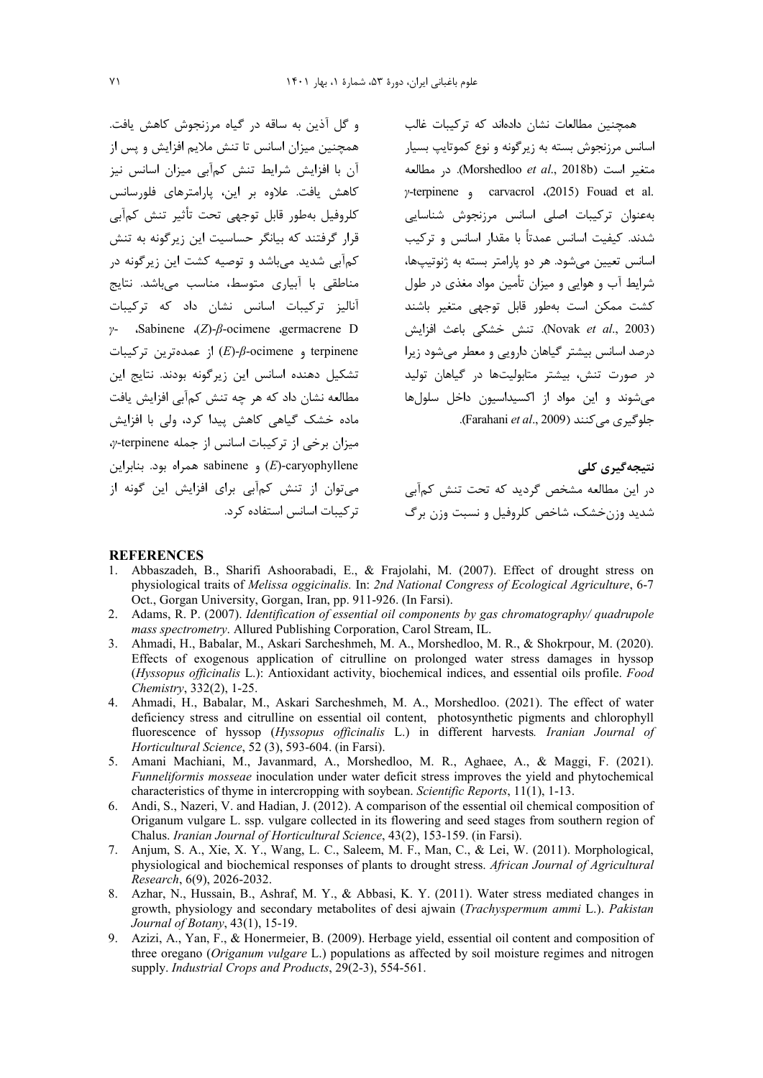و گل آذین به ساقه در گیاه مرزنجوش کاهش یافت. همچنین میزان اسانس تا تنش ملایم افزایش و پس از آن با افزایش شرایط تنش کمآبی میزان اسانس نیز كاهش يافت. علاوه بر اين، پارامترهاي فلورسانس كلروفيل بهطور قابل توجهي تحت تأثير تنش كمآبى قرار گرفتند که بیانگر حساسیت این زیرگونه به تنش کمآبی شدید میباشد و توصیه کشت این زیرگونه در مناطقی با آبیاری متوسط، مناسب می باشد. نتایج آنالیز ترکیبات اسانس نشان داد که ترکیبات  $\gamma$ - Sabinene (Z)- $\beta$ -ocimene germacrene D  $(E)$ از عمدهترین ترکیبات (E)- $\beta$ -ocimene و terpinene تشكيل دهنده اسانس اين زيرگونه بودند. نتايج اين مطالعه نشان داد که هر چه تنش کمآبی افزایش یافت ماده خشک گیاهی کاهش پیدا کرد، ولی با افزایش  $\gamma$ -terpinene میزان برخی از ترکیبات اسانس از جمله sabinene و sabinene همراه بود. بنابراین می توان از تنش کمآبی برای افزایش این گونه از تر کیبات اسانس استفاده کرد. همچنین مطالعات نشان دادهاند که ترکیبات غالب اسانس مرزنجوش بسته به زیرگونه و نوع کموتایپ بسیار متغير است (Morshedloo et al., 2018b). در مطالعه y-terpinene  $\alpha$  carvacrol (2015) Fouad et al. بەعنوان تركيبات اصلى اسانس مرزنجوش شناسايى شدند. کیفیت اسانس عمدتاً با مقدار اسانس و ترکیب اسانس تعیین می شود. هر دو پارامتر بسته به ژنوتیپها، شرایط آب و هوایی و میزان تأمین مواد مغذی در طول كشت ممكن است بهطور قابل توجهي متغير باشند (Novak et al., 2003). تنش خشكى باعث افزايش درصد اسانس بیشتر گیاهان دارویی و معطر میشود زیرا در صورت تنش، بیشتر متابولیتها در گیاهان تولید می شوند و این مواد از اکسیداسیون داخل سلولها جلوگیری می کنند (Farahani et al., 2009).

نتیجەگیرى كلى در این مطالعه مشخص گردید که تحت تنش کمآبی شديد وزن خشک، شاخص کلروفيل و نسبت وزن برگ

#### **REFERENCES**

- 1. Abbaszadeh, B., Sharifi Ashoorabadi, E., & Frajolahi, M. (2007). Effect of drought stress on physiological traits of Melissa oggicinalis. In: 2nd National Congress of Ecological Agriculture, 6-7 Oct., Gorgan University, Gorgan, Iran, pp. 911-926. (In Farsi).
- 2. Adams, R. P. (2007). Identification of essential oil components by gas chromatography/ quadrupole mass spectrometry. Allured Publishing Corporation, Carol Stream, IL.
- 3. Ahmadi, H., Babalar, M., Askari Sarcheshmeh, M. A., Morshedloo, M. R., & Shokrpour, M. (2020). Effects of exogenous application of citrulline on prolonged water stress damages in hyssop (Hyssopus officinalis L.): Antioxidant activity, biochemical indices, and essential oils profile. Food Chemistry, 332(2), 1-25.
- 4. Ahmadi, H., Babalar, M., Askari Sarcheshmeh, M. A., Morshedloo. (2021). The effect of water deficiency stress and citrulline on essential oil content, photosynthetic pigments and chlorophyll fluorescence of hyssop (Hyssopus officinalis L.) in different harvests. Iranian Journal of Horticultural Science, 52 (3), 593-604. (in Farsi).
- 5. Amani Machiani, M., Javanmard, A., Morshedloo, M. R., Aghaee, A., & Maggi, F. (2021). Funneliformis mosseae inoculation under water deficit stress improves the yield and phytochemical characteristics of thyme in intercropping with soybean. Scientific Reports, 11(1), 1-13.
- 6. Andi, S., Nazeri, V. and Hadian, J. (2012). A comparison of the essential oil chemical composition of Origanum vulgare L. ssp. vulgare collected in its flowering and seed stages from southern region of Chalus. Iranian Journal of Horticultural Science, 43(2), 153-159. (in Farsi).
- 7. Anjum, S. A., Xie, X. Y., Wang, L. C., Saleem, M. F., Man, C., & Lei, W. (2011). Morphological, physiological and biochemical responses of plants to drought stress. African Journal of Agricultural Research, 6(9), 2026-2032.
- 8. Azhar, N., Hussain, B., Ashraf, M. Y., & Abbasi, K. Y. (2011). Water stress mediated changes in growth, physiology and secondary metabolites of desi ajwain (Trachyspermum ammi L.). Pakistan Journal of Botany, 43(1), 15-19.
- 9. Azizi, A., Yan, F., & Honermeier, B. (2009). Herbage yield, essential oil content and composition of three oregano (Origanum vulgare L.) populations as affected by soil moisture regimes and nitrogen supply. Industrial Crops and Products, 29(2-3), 554-561.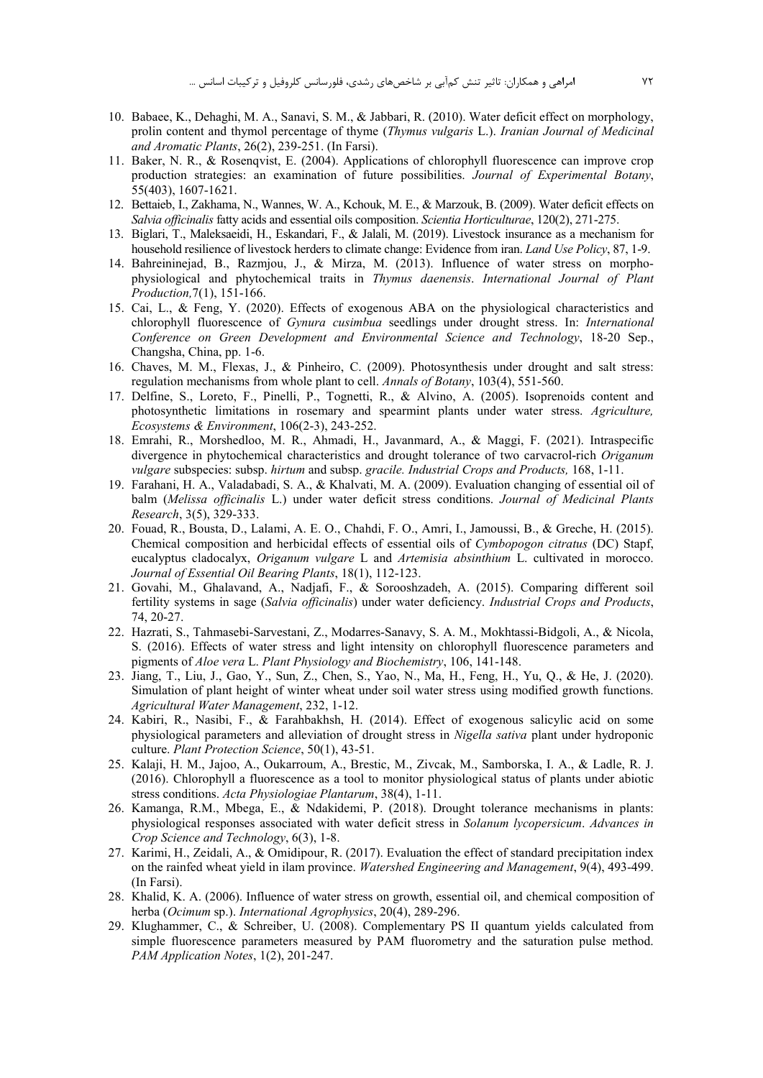- 10. Babaee, K., Dehaghi, M. A., Sanavi, S. M., & Jabbari, R. (2010). Water deficit effect on morphology, prolin content and thymol percentage of thyme (Thymus vulgaris L.). Iranian Journal of Medicinal and Aromatic Plants, 26(2), 239-251. (In Farsi).
- 11. Baker, N. R., & Rosenqvist, E. (2004). Applications of chlorophyll fluorescence can improve crop production strategies: an examination of future possibilities. Journal of Experimental Botany, 55(403), 1607-1621.
- 12. Bettaieb, I., Zakhama, N., Wannes, W. A., Kchouk, M. E., & Marzouk, B. (2009). Water deficit effects on Salvia officinalis fatty acids and essential oils composition. Scientia Horticulturae, 120(2), 271-275.
- 13. Biglari, T., Maleksaeidi, H., Eskandari, F., & Jalali, M. (2019). Livestock insurance as a mechanism for household resilience of livestock herders to climate change: Evidence from iran. Land Use Policy, 87, 1-9.
- 14. Bahreininejad, B., Razmjou, J., & Mirza, M. (2013). Influence of water stress on morphophysiological and phytochemical traits in Thymus daenensis. International Journal of Plant Production, 7(1), 151-166.
- 15. Cai, L., & Feng, Y. (2020). Effects of exogenous ABA on the physiological characteristics and chlorophyll fluorescence of Gynura cusimbua seedlings under drought stress. In: International Conference on Green Development and Environmental Science and Technology, 18-20 Sep., Changsha, China, pp. 1-6.
- 16. Chaves, M. M., Flexas, J., & Pinheiro, C. (2009). Photosynthesis under drought and salt stress: regulation mechanisms from whole plant to cell. Annals of Botany, 103(4), 551-560.
- 17. Delfine, S., Loreto, F., Pinelli, P., Tognetti, R., & Alvino, A. (2005). Isoprenoids content and photosynthetic limitations in rosemary and spearmint plants under water stress. Agriculture, Ecosystems & Environment, 106(2-3), 243-252.
- 18. Emrahi, R., Morshedloo, M. R., Ahmadi, H., Javanmard, A., & Maggi, F. (2021). Intraspecific divergence in phytochemical characteristics and drought tolerance of two carvacrol-rich Origanum vulgare subspecies: subsp. hirtum and subsp. gracile. Industrial Crops and Products, 168, 1-11.
- 19. Farahani, H. A., Valadabadi, S. A., & Khalvati, M. A. (2009). Evaluation changing of essential oil of balm (Melissa officinalis L.) under water deficit stress conditions. Journal of Medicinal Plants Research, 3(5), 329-333.
- 20. Fouad, R., Bousta, D., Lalami, A. E. O., Chahdi, F. O., Amri, I., Jamoussi, B., & Greche, H. (2015). Chemical composition and herbicidal effects of essential oils of Cymbopogon citratus (DC) Stapf, eucalyptus cladocalyx, Origanum vulgare L and Artemisia absinthium L. cultivated in morocco. Journal of Essential Oil Bearing Plants, 18(1), 112-123.
- 21. Govahi, M., Ghalavand, A., Nadjafi, F., & Sorooshzadeh, A. (2015). Comparing different soil fertility systems in sage (Salvia officinalis) under water deficiency. Industrial Crops and Products, 74, 20-27.
- 22. Hazrati, S., Tahmasebi-Sarvestani, Z., Modarres-Sanavy, S. A. M., Mokhtassi-Bidgoli, A., & Nicola, S. (2016). Effects of water stress and light intensity on chlorophyll fluorescence parameters and pigments of *Aloe vera L. Plant Physiology and Biochemistry*, 106, 141-148.
- 23. Jiang, T., Liu, J., Gao, Y., Sun, Z., Chen, S., Yao, N., Ma, H., Feng, H., Yu, Q., & He, J. (2020). Simulation of plant height of winter wheat under soil water stress using modified growth functions. Agricultural Water Management, 232, 1-12.
- 24. Kabiri, R., Nasibi, F., & Farahbakhsh, H. (2014). Effect of exogenous salicylic acid on some physiological parameters and alleviation of drought stress in Nigella sativa plant under hydroponic culture. Plant Protection Science, 50(1), 43-51.
- 25. Kalaji, H. M., Jajoo, A., Oukarroum, A., Brestic, M., Zivcak, M., Samborska, I. A., & Ladle, R. J. (2016). Chlorophyll a fluorescence as a tool to monitor physiological status of plants under abiotic stress conditions. Acta Physiologiae Plantarum, 38(4), 1-11.
- 26. Kamanga, R.M., Mbega, E., & Ndakidemi, P. (2018). Drought tolerance mechanisms in plants: physiological responses associated with water deficit stress in Solanum lycopersicum. Advances in Crop Science and Technology, 6(3), 1-8.
- 27. Karimi, H., Zeidali, A., & Omidipour, R. (2017). Evaluation the effect of standard precipitation index on the rainfed wheat yield in ilam province. Watershed Engineering and Management, 9(4), 493-499. (In Farsi).
- 28. Khalid, K. A. (2006). Influence of water stress on growth, essential oil, and chemical composition of herba (Ocimum sp.). International Agrophysics, 20(4), 289-296.
- 29. Klughammer, C., & Schreiber, U. (2008). Complementary PS II quantum yields calculated from simple fluorescence parameters measured by PAM fluorometry and the saturation pulse method. PAM Application Notes, 1(2), 201-247.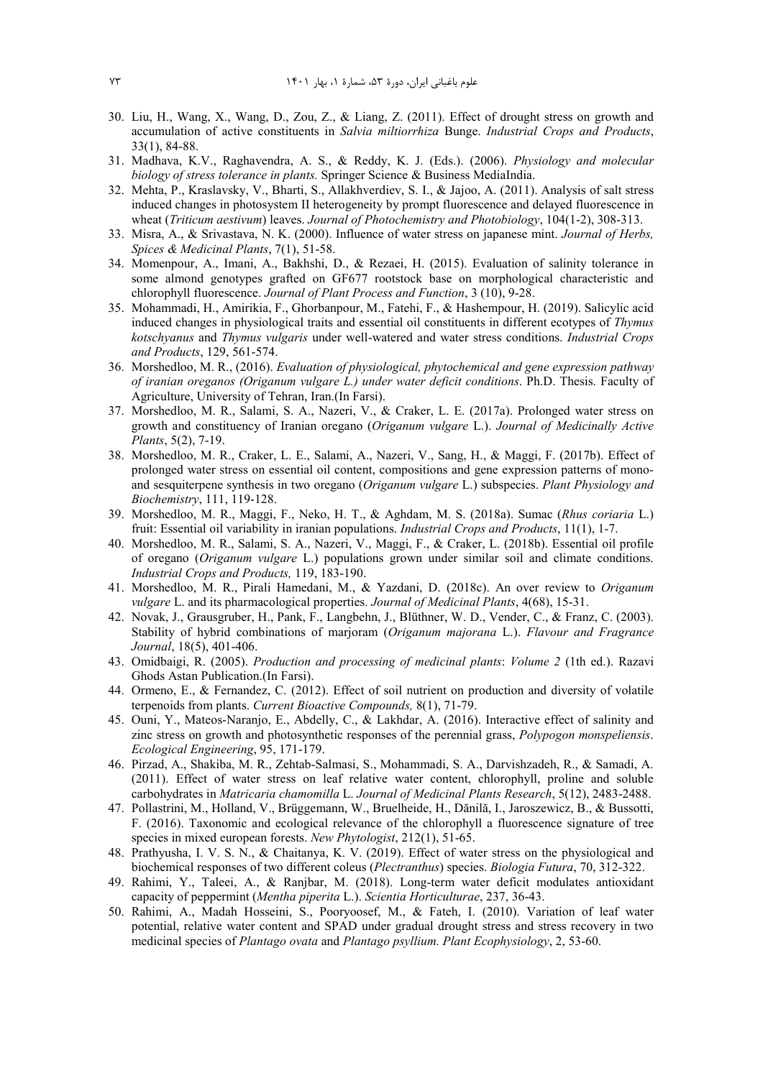- 30. Liu, H., Wang, X., Wang, D., Zou, Z., & Liang, Z. (2011). Effect of drought stress on growth and accumulation of active constituents in *Salvia miltiorrhiza* Bunge. *Industrial Crops and Products*, 33(1), 84-88.
- 31. Madhava, K.V., Raghavendra, A. S., & Reddy, K. J. (Eds.). (2006). *Physiology and molecular biology of stress tolerance in plants.* Springer Science & Business MediaIndia.
- 32. Mehta, P., Kraslavsky, V., Bharti, S., Allakhverdiev, S. I., & Jajoo, A. (2011). Analysis of salt stress induced changes in photosystem II heterogeneity by prompt fluorescence and delayed fluorescence in wheat (*Triticum aestivum*) leaves. *Journal of Photochemistry and Photobiology*, 104(1-2), 308-313.
- 33. Misra, A., & Srivastava, N. K. (2000). Influence of water stress on japanese mint. *Journal of Herbs, Spices & Medicinal Plants*, 7(1), 51-58.
- 34. Momenpour, A., Imani, A., Bakhshi, D., & Rezaei, H. (2015). Evaluation of salinity tolerance in some almond genotypes grafted on GF677 rootstock base on morphological characteristic and chlorophyll fluorescence. *Journal of Plant Process and Function*, 3 (10), 9-28.
- 35. Mohammadi, H., Amirikia, F., Ghorbanpour, M., Fatehi, F., & Hashempour, H. (2019). Salicylic acid induced changes in physiological traits and essential oil constituents in different ecotypes of *Thymus kotschyanus* and *Thymus vulgaris* under well-watered and water stress conditions. *Industrial Crops and Products*, 129, 561-574.
- 36. Morshedloo, M. R., (2016). *Evaluation of physiological, phytochemical and gene expression pathway of iranian oreganos (Origanum vulgare L.) under water deficit conditions*. Ph.D. Thesis. Faculty of Agriculture, University of Tehran, Iran.(In Farsi).
- 37. Morshedloo, M. R., Salami, S. A., Nazeri, V., & Craker, L. E. (2017a). Prolonged water stress on growth and constituency of Iranian oregano (*Origanum vulgare* L.). *Journal of Medicinally Active Plants*, 5(2), 7-19.
- 38. Morshedloo, M. R., Craker, L. E., Salami, A., Nazeri, V., Sang, H., & Maggi, F. (2017b). Effect of prolonged water stress on essential oil content, compositions and gene expression patterns of monoand sesquiterpene synthesis in two oregano (*Origanum vulgare* L.) subspecies. *Plant Physiology and Biochemistry*, 111, 119-128.
- 39. Morshedloo, M. R., Maggi, F., Neko, H. T., & Aghdam, M. S. (2018a). Sumac (*Rhus coriaria* L.) fruit: Essential oil variability in iranian populations. *Industrial Crops and Products*, 11(1), 1-7.
- 40. Morshedloo, M. R., Salami, S. A., Nazeri, V., Maggi, F., & Craker, L. (2018b). Essential oil profile of oregano (*Origanum vulgare* L.) populations grown under similar soil and climate conditions. *Industrial Crops and Products,* 119, 183-190.
- 41. Morshedloo, M. R., Pirali Hamedani, M., & Yazdani, D. (2018c). An over review to *Origanum vulgare* L. and its pharmacological properties. *Journal of Medicinal Plants*, 4(68), 15-31.
- 42. Novak, J., Grausgruber, H., Pank, F., Langbehn, J., Blüthner, W. D., Vender, C., & Franz, C. (2003). Stability of hybrid combinations of marjoram (*Origanum majorana* L.). *Flavour and Fragrance Journal*, 18(5), 401-406.
- 43. Omidbaigi, R. (2005). *Production and processing of medicinal plants*: *Volume 2* (1th ed.). Razavi Ghods Astan Publication.(In Farsi).
- 44. Ormeno, E., & Fernandez, C. (2012). Effect of soil nutrient on production and diversity of volatile terpenoids from plants. *Current Bioactive Compounds,* 8(1), 71-79.
- 45. Ouni, Y., Mateos-Naranjo, E., Abdelly, C., & Lakhdar, A. (2016). Interactive effect of salinity and zinc stress on growth and photosynthetic responses of the perennial grass, *Polypogon monspeliensis*. *Ecological Engineering*, 95, 171-179.
- 46. Pirzad, A., Shakiba, M. R., Zehtab-Salmasi, S., Mohammadi, S. A., Darvishzadeh, R., & Samadi, A. (2011). Effect of water stress on leaf relative water content, chlorophyll, proline and soluble carbohydrates in *Matricaria chamomilla* L. *Journal of Medicinal Plants Research*, 5(12), 2483-2488.
- 47. Pollastrini, M., Holland, V., Brüggemann, W., Bruelheide, H., Dănilă, I., Jaroszewicz, B., & Bussotti, F. (2016). Taxonomic and ecological relevance of the chlorophyll a fluorescence signature of tree species in mixed european forests. *New Phytologist*, 212(1), 51-65.
- 48. Prathyusha, I. V. S. N., & Chaitanya, K. V. (2019). Effect of water stress on the physiological and biochemical responses of two different coleus (*Plectranthus*) species. *Biologia Futura*, 70, 312-322.
- 49. Rahimi, Y., Taleei, A., & Ranjbar, M. (2018). Long-term water deficit modulates antioxidant capacity of peppermint (*Mentha piperita* L.). *Scientia Horticulturae*, 237, 36-43.
- 50. Rahimi, A., Madah Hosseini, S., Pooryoosef, M., & Fateh, I. (2010). Variation of leaf water potential, relative water content and SPAD under gradual drought stress and stress recovery in two medicinal species of *Plantago ovata* and *Plantago psyllium. Plant Ecophysiology*, 2, 53-60.